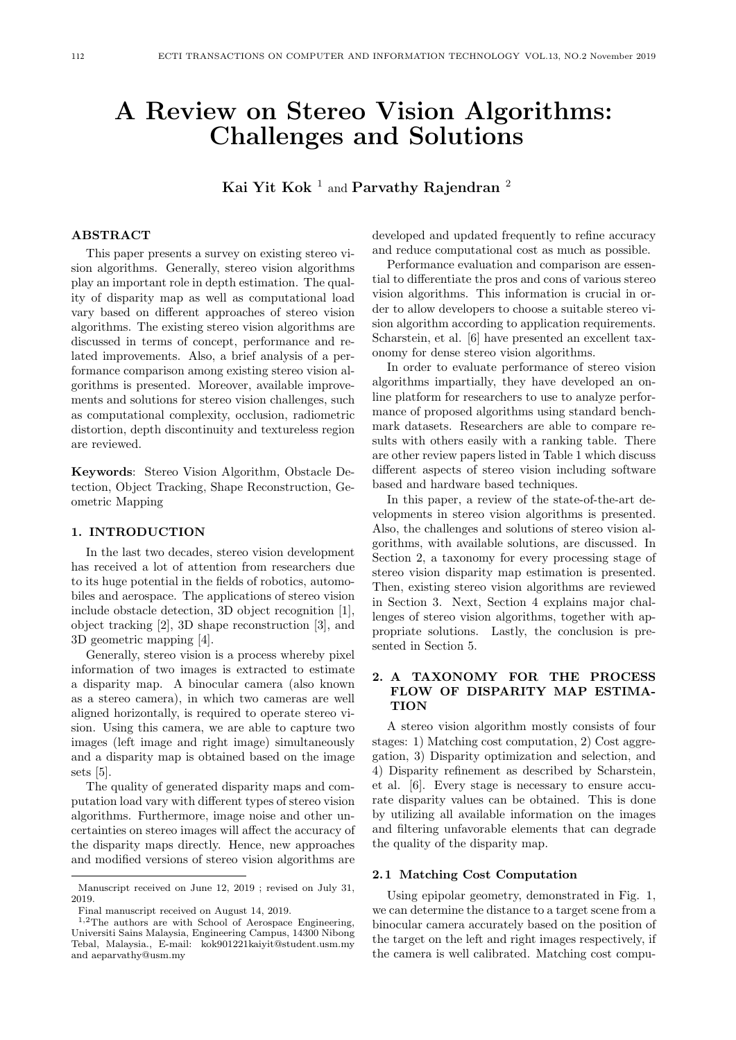# A Review on Stereo Vision Algorithms: Challenges and Solutions

Kai Yit Kok $^{-1}$  and Parvathy Rajendran  $^2$ 

# ABSTRACT

This paper presents a survey on existing stereo vision algorithms. Generally, stereo vision algorithms play an important role in depth estimation. The quality of disparity map as well as computational load vary based on different approaches of stereo vision algorithms. The existing stereo vision algorithms are discussed in terms of concept, performance and related improvements. Also, a brief analysis of a performance comparison among existing stereo vision algorithms is presented. Moreover, available improvements and solutions for stereo vision challenges, such as computational complexity, occlusion, radiometric distortion, depth discontinuity and textureless region are reviewed.

Keywords: Stereo Vision Algorithm, Obstacle Detection, Object Tracking, Shape Reconstruction, Geometric Mapping

## 1. INTRODUCTION

In the last two decades, stereo vision development has received a lot of attention from researchers due to its huge potential in the fields of robotics, automobiles and aerospace. The applications of stereo vision include obstacle detection, 3D object recognition [1], object tracking [2], 3D shape reconstruction [3], and 3D geometric mapping [4].

Generally, stereo vision is a process whereby pixel information of two images is extracted to estimate a disparity map. A binocular camera (also known as a stereo camera), in which two cameras are well aligned horizontally, is required to operate stereo vision. Using this camera, we are able to capture two images (left image and right image) simultaneously and a disparity map is obtained based on the image sets [5].

The quality of generated disparity maps and computation load vary with different types of stereo vision algorithms. Furthermore, image noise and other uncertainties on stereo images will affect the accuracy of the disparity maps directly. Hence, new approaches and modified versions of stereo vision algorithms are developed and updated frequently to refine accuracy and reduce computational cost as much as possible.

Performance evaluation and comparison are essential to differentiate the pros and cons of various stereo vision algorithms. This information is crucial in order to allow developers to choose a suitable stereo vision algorithm according to application requirements. Scharstein, et al. [6] have presented an excellent taxonomy for dense stereo vision algorithms.

In order to evaluate performance of stereo vision algorithms impartially, they have developed an online platform for researchers to use to analyze performance of proposed algorithms using standard benchmark datasets. Researchers are able to compare results with others easily with a ranking table. There are other review papers listed in Table 1 which discuss different aspects of stereo vision including software based and hardware based techniques.

In this paper, a review of the state-of-the-art developments in stereo vision algorithms is presented. Also, the challenges and solutions of stereo vision algorithms, with available solutions, are discussed. In Section 2, a taxonomy for every processing stage of stereo vision disparity map estimation is presented. Then, existing stereo vision algorithms are reviewed in Section 3. Next, Section 4 explains major challenges of stereo vision algorithms, together with appropriate solutions. Lastly, the conclusion is presented in Section 5.

# 2. A TAXONOMY FOR THE PROCESS FLOW OF DISPARITY MAP ESTIMA-TION

A stereo vision algorithm mostly consists of four stages: 1) Matching cost computation, 2) Cost aggregation, 3) Disparity optimization and selection, and 4) Disparity refinement as described by Scharstein, et al. [6]. Every stage is necessary to ensure accurate disparity values can be obtained. This is done by utilizing all available information on the images and filtering unfavorable elements that can degrade the quality of the disparity map.

## 2. 1 Matching Cost Computation

Using epipolar geometry, demonstrated in Fig. 1, we can determine the distance to a target scene from a binocular camera accurately based on the position of the target on the left and right images respectively, if the camera is well calibrated. Matching cost compu-

Manuscript received on June 12, 2019 ; revised on July 31, 2019.

Final manuscript received on August 14, 2019.

<sup>1</sup>,2The authors are with School of Aerospace Engineering, Universiti Sains Malaysia, Engineering Campus, 14300 Nibong Tebal, Malaysia., E-mail: kok901221kaiyit@student.usm.my and aeparvathy@usm.my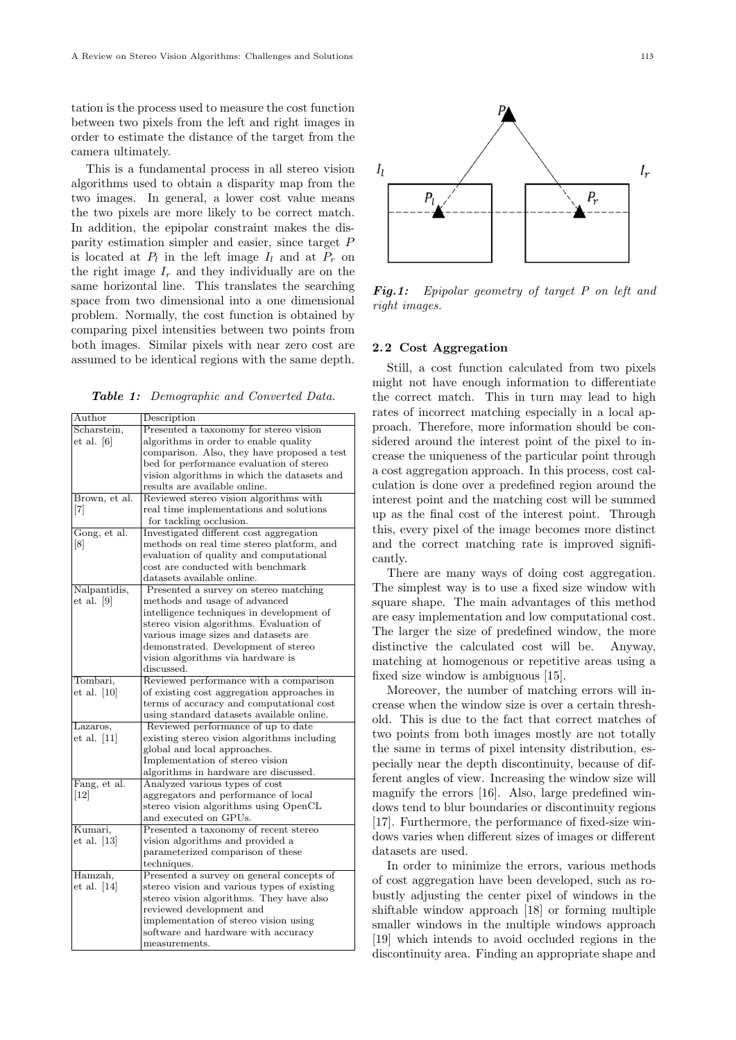tation is the process used to measure the cost function between two pixels from the left and right images in order to estimate the distance of the target from the camera ultimately.

This is a fundamental process in all stereo vision algorithms used to obtain a disparity map from the two images. In general, a lower cost value means the two pixels are more likely to be correct match. In addition, the epipolar constraint makes the disparity estimation simpler and easier, since target P is located at  $P_l$  in the left image  $I_l$  and at  $P_r$  on the right image  $I_r$  and they individually are on the same horizontal line. This translates the searching space from two dimensional into a one dimensional problem. Normally, the cost function is obtained by comparing pixel intensities between two points from both images. Similar pixels with near zero cost are assumed to be identical regions with the same depth.

Table 1: Demographic and Converted Data.

| Author            | Description                                 |
|-------------------|---------------------------------------------|
| Scharstein,       | Presented a taxonomy for stereo vision      |
| et al. [6]        | algorithms in order to enable quality       |
|                   | comparison. Also, they have proposed a test |
|                   | bed for performance evaluation of stereo    |
|                   | vision algorithms in which the datasets and |
|                   | results are available online.               |
| Brown, et al.     | Reviewed stereo vision algorithms with      |
| $[7]$             | real time implementations and solutions     |
|                   | for tackling occlusion.                     |
| Gong, et al.      | Investigated different cost aggregation     |
| $\lceil 8 \rceil$ | methods on real time stereo platform, and   |
|                   | evaluation of quality and computational     |
|                   | cost are conducted with benchmark           |
|                   | datasets available online.                  |
| Nalpantidis,      | Presented a survey on stereo matching       |
| et al. [9]        | methods and usage of advanced               |
|                   | intelligence techniques in development of   |
|                   | stereo vision algorithms. Evaluation of     |
|                   | various image sizes and datasets are        |
|                   | demonstrated. Development of stereo         |
|                   | vision algorithms via hardware is           |
|                   | discussed.                                  |
| Tombari,          | Reviewed performance with a comparison      |
| et al. $[10]$     | of existing cost aggregation approaches in  |
|                   | terms of accuracy and computational cost    |
|                   | using standard datasets available online.   |
| Lazaros,          | Reviewed performance of up to date          |
| et al. [11]       | existing stereo vision algorithms including |
|                   | global and local approaches.                |
|                   | Implementation of stereo vision             |
|                   | algorithms in hardware are discussed.       |
| Fang, et al.      | Analyzed various types of cost              |
| $\left[12\right]$ | aggregators and performance of local        |
|                   | stereo vision algorithms using OpenCL       |
|                   | and executed on GPUs.                       |
| Kumari,           | Presented a taxonomy of recent stereo       |
| et al. $[13]$     | vision algorithms and provided a            |
|                   | parameterized comparison of these           |
|                   | techniques.                                 |
| Hamzah,           | Presented a survey on general concepts of   |
| et al. $[14]$     | stereo vision and various types of existing |
|                   | stereo vision algorithms. They have also    |
|                   | reviewed development and                    |
|                   | implementation of stereo vision using       |
|                   | software and hardware with accuracy         |
|                   | measurements.                               |



Fig.1: Epipolar geometry of target P on left and right images.

#### 2. 2 Cost Aggregation

Still, a cost function calculated from two pixels might not have enough information to differentiate the correct match. This in turn may lead to high rates of incorrect matching especially in a local approach. Therefore, more information should be considered around the interest point of the pixel to increase the uniqueness of the particular point through a cost aggregation approach. In this process, cost calculation is done over a predefined region around the interest point and the matching cost will be summed up as the final cost of the interest point. Through this, every pixel of the image becomes more distinct and the correct matching rate is improved significantly.

There are many ways of doing cost aggregation. The simplest way is to use a fixed size window with square shape. The main advantages of this method are easy implementation and low computational cost. The larger the size of predefined window, the more distinctive the calculated cost will be. Anyway, matching at homogenous or repetitive areas using a fixed size window is ambiguous [15].

Moreover, the number of matching errors will increase when the window size is over a certain threshold. This is due to the fact that correct matches of two points from both images mostly are not totally the same in terms of pixel intensity distribution, especially near the depth discontinuity, because of different angles of view. Increasing the window size will magnify the errors [16]. Also, large predefined windows tend to blur boundaries or discontinuity regions [17]. Furthermore, the performance of fixed-size windows varies when different sizes of images or different datasets are used.

In order to minimize the errors, various methods of cost aggregation have been developed, such as robustly adjusting the center pixel of windows in the shiftable window approach [18] or forming multiple smaller windows in the multiple windows approach [19] which intends to avoid occluded regions in the discontinuity area. Finding an appropriate shape and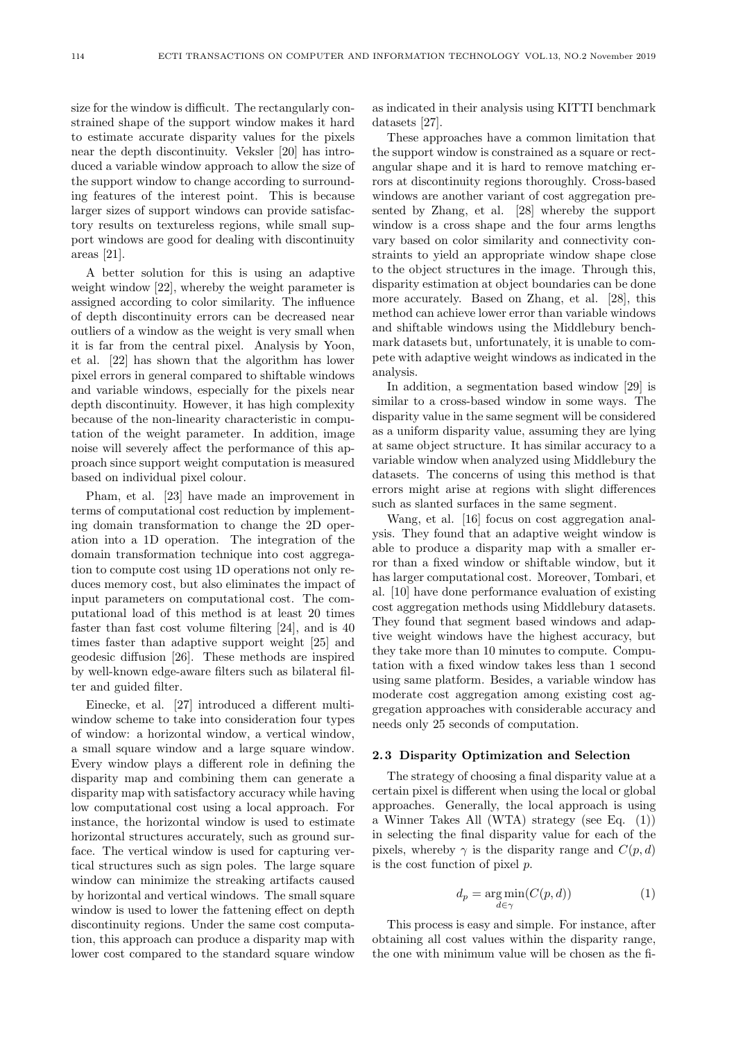size for the window is difficult. The rectangularly constrained shape of the support window makes it hard to estimate accurate disparity values for the pixels near the depth discontinuity. Veksler [20] has introduced a variable window approach to allow the size of the support window to change according to surrounding features of the interest point. This is because larger sizes of support windows can provide satisfactory results on textureless regions, while small support windows are good for dealing with discontinuity areas [21].

A better solution for this is using an adaptive weight window [22], whereby the weight parameter is assigned according to color similarity. The influence of depth discontinuity errors can be decreased near outliers of a window as the weight is very small when it is far from the central pixel. Analysis by Yoon, et al. [22] has shown that the algorithm has lower pixel errors in general compared to shiftable windows and variable windows, especially for the pixels near depth discontinuity. However, it has high complexity because of the non-linearity characteristic in computation of the weight parameter. In addition, image noise will severely affect the performance of this approach since support weight computation is measured based on individual pixel colour.

Pham, et al. [23] have made an improvement in terms of computational cost reduction by implementing domain transformation to change the 2D operation into a 1D operation. The integration of the domain transformation technique into cost aggregation to compute cost using 1D operations not only reduces memory cost, but also eliminates the impact of input parameters on computational cost. The computational load of this method is at least 20 times faster than fast cost volume filtering [24], and is 40 times faster than adaptive support weight [25] and geodesic diffusion [26]. These methods are inspired by well-known edge-aware filters such as bilateral filter and guided filter.

Einecke, et al. [27] introduced a different multiwindow scheme to take into consideration four types of window: a horizontal window, a vertical window, a small square window and a large square window. Every window plays a different role in defining the disparity map and combining them can generate a disparity map with satisfactory accuracy while having low computational cost using a local approach. For instance, the horizontal window is used to estimate horizontal structures accurately, such as ground surface. The vertical window is used for capturing vertical structures such as sign poles. The large square window can minimize the streaking artifacts caused by horizontal and vertical windows. The small square window is used to lower the fattening effect on depth discontinuity regions. Under the same cost computation, this approach can produce a disparity map with lower cost compared to the standard square window

as indicated in their analysis using KITTI benchmark datasets [27].

These approaches have a common limitation that the support window is constrained as a square or rectangular shape and it is hard to remove matching errors at discontinuity regions thoroughly. Cross-based windows are another variant of cost aggregation presented by Zhang, et al. [28] whereby the support window is a cross shape and the four arms lengths vary based on color similarity and connectivity constraints to yield an appropriate window shape close to the object structures in the image. Through this, disparity estimation at object boundaries can be done more accurately. Based on Zhang, et al. [28], this method can achieve lower error than variable windows and shiftable windows using the Middlebury benchmark datasets but, unfortunately, it is unable to compete with adaptive weight windows as indicated in the analysis.

In addition, a segmentation based window [29] is similar to a cross-based window in some ways. The disparity value in the same segment will be considered as a uniform disparity value, assuming they are lying at same object structure. It has similar accuracy to a variable window when analyzed using Middlebury the datasets. The concerns of using this method is that errors might arise at regions with slight differences such as slanted surfaces in the same segment.

Wang, et al. [16] focus on cost aggregation analysis. They found that an adaptive weight window is able to produce a disparity map with a smaller error than a fixed window or shiftable window, but it has larger computational cost. Moreover, Tombari, et al. [10] have done performance evaluation of existing cost aggregation methods using Middlebury datasets. They found that segment based windows and adaptive weight windows have the highest accuracy, but they take more than 10 minutes to compute. Computation with a fixed window takes less than 1 second using same platform. Besides, a variable window has moderate cost aggregation among existing cost aggregation approaches with considerable accuracy and needs only 25 seconds of computation.

#### 2. 3 Disparity Optimization and Selection

The strategy of choosing a final disparity value at a certain pixel is different when using the local or global approaches. Generally, the local approach is using a Winner Takes All (WTA) strategy (see Eq. (1)) in selecting the final disparity value for each of the pixels, whereby  $\gamma$  is the disparity range and  $C(p, d)$ is the cost function of pixel p.

$$
d_p = \underset{d \in \gamma}{\arg \min} (C(p, d)) \tag{1}
$$

This process is easy and simple. For instance, after obtaining all cost values within the disparity range, the one with minimum value will be chosen as the fi-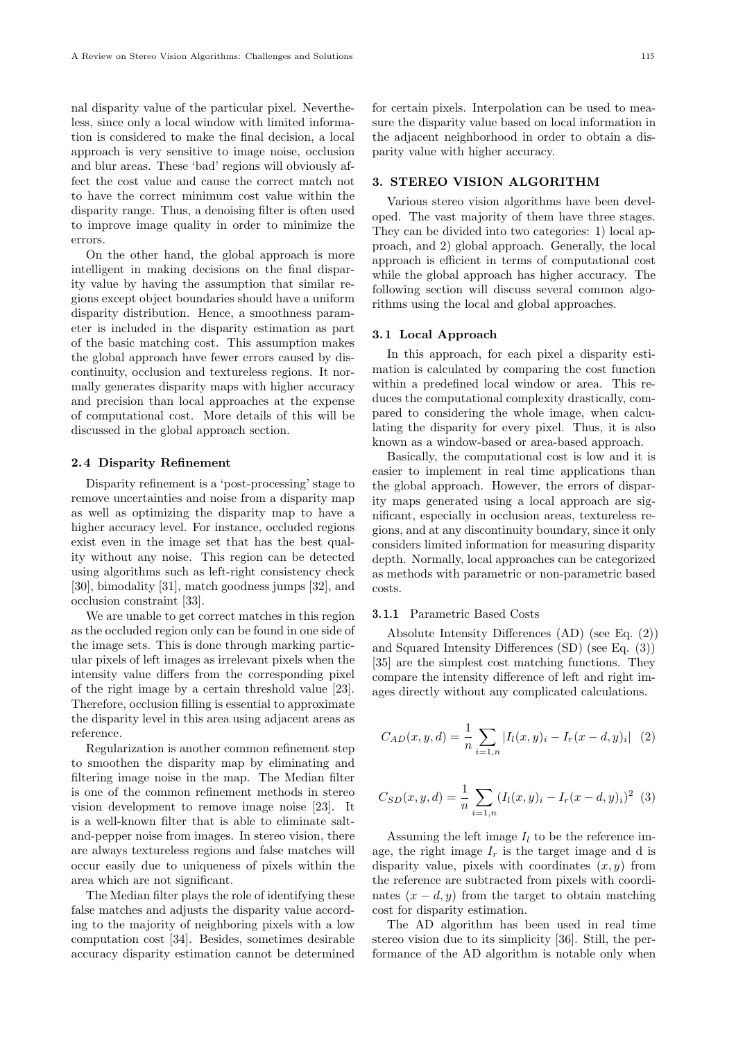nal disparity value of the particular pixel. Nevertheless, since only a local window with limited information is considered to make the final decision, a local approach is very sensitive to image noise, occlusion and blur areas. These 'bad' regions will obviously affect the cost value and cause the correct match not to have the correct minimum cost value within the disparity range. Thus, a denoising filter is often used to improve image quality in order to minimize the errors.

On the other hand, the global approach is more intelligent in making decisions on the final disparity value by having the assumption that similar regions except object boundaries should have a uniform disparity distribution. Hence, a smoothness parameter is included in the disparity estimation as part of the basic matching cost. This assumption makes the global approach have fewer errors caused by discontinuity, occlusion and textureless regions. It normally generates disparity maps with higher accuracy and precision than local approaches at the expense of computational cost. More details of this will be discussed in the global approach section.

#### 2.4 Disparity Refinement

Disparity refinement is a 'post-processing' stage to remove uncertainties and noise from a disparity map as well as optimizing the disparity map to have a higher accuracy level. For instance, occluded regions exist even in the image set that has the best quality without any noise. This region can be detected using algorithms such as left-right consistency check [30], bimodality [31], match goodness jumps [32], and occlusion constraint [33].

We are unable to get correct matches in this region as the occluded region only can be found in one side of the image sets. This is done through marking particular pixels of left images as irrelevant pixels when the intensity value differs from the corresponding pixel of the right image by a certain threshold value [23]. Therefore, occlusion filling is essential to approximate the disparity level in this area using adjacent areas as reference.

Regularization is another common refinement step to smoothen the disparity map by eliminating and filtering image noise in the map. The Median filter is one of the common refinement methods in stereo vision development to remove image noise [23]. It is a well-known filter that is able to eliminate saltand-pepper noise from images. In stereo vision, there are always textureless regions and false matches will occur easily due to uniqueness of pixels within the area which are not significant.

The Median filter plays the role of identifying these false matches and adjusts the disparity value according to the majority of neighboring pixels with a low computation cost [34]. Besides, sometimes desirable accuracy disparity estimation cannot be determined

for certain pixels. Interpolation can be used to measure the disparity value based on local information in the adjacent neighborhood in order to obtain a disparity value with higher accuracy.

# 3. STEREO VISION ALGORITHM

Various stereo vision algorithms have been developed. The vast majority of them have three stages. They can be divided into two categories: 1) local approach, and 2) global approach. Generally, the local approach is efficient in terms of computational cost while the global approach has higher accuracy. The following section will discuss several common algorithms using the local and global approaches.

#### 3.1 Local Approach

In this approach, for each pixel a disparity estimation is calculated by comparing the cost function within a predefined local window or area. This reduces the computational complexity drastically, compared to considering the whole image, when calculating the disparity for every pixel. Thus, it is also known as a window-based or area-based approach.

Basically, the computational cost is low and it is easier to implement in real time applications than the global approach. However, the errors of disparity maps generated using a local approach are significant, especially in occlusion areas, textureless regions, and at any discontinuity boundary, since it only considers limited information for measuring disparity depth. Normally, local approaches can be categorized as methods with parametric or non-parametric based costs.

#### 3. 1.1 Parametric Based Costs

Absolute Intensity Differences (AD) (see Eq. (2)) and Squared Intensity Differences (SD) (see Eq. (3)) [35] are the simplest cost matching functions. They compare the intensity difference of left and right images directly without any complicated calculations.

$$
C_{AD}(x, y, d) = \frac{1}{n} \sum_{i=1, n} |I_l(x, y)_i - I_r(x - d, y)_i| \quad (2)
$$

$$
C_{SD}(x, y, d) = \frac{1}{n} \sum_{i=1, n} (I_l(x, y)_i - I_r(x - d, y)_i)^2
$$
 (3)

Assuming the left image  $I_l$  to be the reference image, the right image  $I_r$  is the target image and d is disparity value, pixels with coordinates  $(x, y)$  from the reference are subtracted from pixels with coordinates  $(x - d, y)$  from the target to obtain matching cost for disparity estimation.

The AD algorithm has been used in real time stereo vision due to its simplicity [36]. Still, the performance of the AD algorithm is notable only when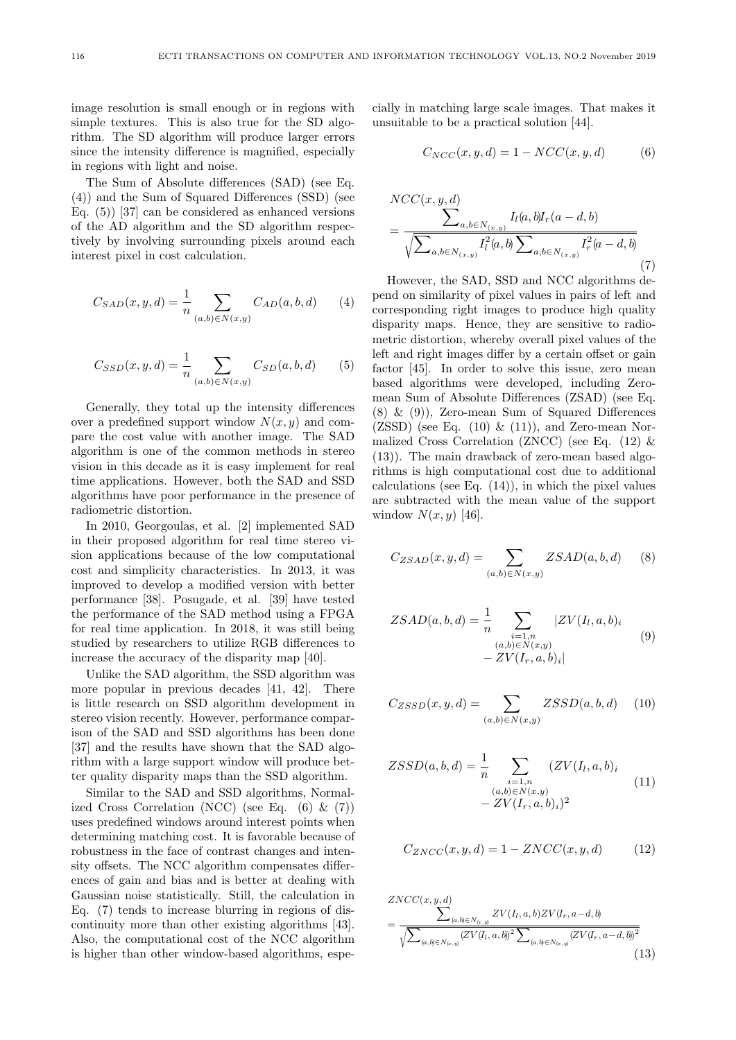image resolution is small enough or in regions with simple textures. This is also true for the SD algorithm. The SD algorithm will produce larger errors since the intensity difference is magnified, especially in regions with light and noise.

The Sum of Absolute differences (SAD) (see Eq. (4)) and the Sum of Squared Differences (SSD) (see Eq. (5)) [37] can be considered as enhanced versions of the AD algorithm and the SD algorithm respectively by involving surrounding pixels around each interest pixel in cost calculation.

$$
C_{SAD}(x, y, d) = \frac{1}{n} \sum_{(a, b) \in N(x, y)} C_{AD}(a, b, d)
$$
 (4)

$$
C_{SSD}(x, y, d) = \frac{1}{n} \sum_{(a, b) \in N(x, y)} C_{SD}(a, b, d)
$$
 (5)

Generally, they total up the intensity differences over a predefined support window  $N(x, y)$  and compare the cost value with another image. The SAD algorithm is one of the common methods in stereo vision in this decade as it is easy implement for real time applications. However, both the SAD and SSD algorithms have poor performance in the presence of radiometric distortion.

In 2010, Georgoulas, et al. [2] implemented SAD in their proposed algorithm for real time stereo vision applications because of the low computational cost and simplicity characteristics. In 2013, it was improved to develop a modified version with better performance [38]. Posugade, et al. [39] have tested the performance of the SAD method using a FPGA for real time application. In 2018, it was still being studied by researchers to utilize RGB differences to increase the accuracy of the disparity map [40].

Unlike the SAD algorithm, the SSD algorithm was more popular in previous decades [41, 42]. There is little research on SSD algorithm development in stereo vision recently. However, performance comparison of the SAD and SSD algorithms has been done [37] and the results have shown that the SAD algorithm with a large support window will produce better quality disparity maps than the SSD algorithm.

Similar to the SAD and SSD algorithms, Normalized Cross Correlation (NCC) (see Eq.  $(6)$  &  $(7)$ ) uses predefined windows around interest points when determining matching cost. It is favorable because of robustness in the face of contrast changes and intensity offsets. The NCC algorithm compensates differences of gain and bias and is better at dealing with Gaussian noise statistically. Still, the calculation in Eq. (7) tends to increase blurring in regions of discontinuity more than other existing algorithms [43]. Also, the computational cost of the NCC algorithm is higher than other window-based algorithms, especially in matching large scale images. That makes it unsuitable to be a practical solution [44].

$$
C_{NCC}(x, y, d) = 1 - NCC(x, y, d)
$$
 (6)

$$
NCC(x, y, d)
$$
  
= 
$$
\frac{\sum_{a,b \in N(x,y)} I_l(a,b) I_r(a-d,b)}{\sqrt{\sum_{a,b \in N(x,y)} I_l^2(a,b) \sum_{a,b \in N(x,y)} I_r^2(a-d,b)}}
$$
(7)

However, the SAD, SSD and NCC algorithms depend on similarity of pixel values in pairs of left and corresponding right images to produce high quality disparity maps. Hence, they are sensitive to radiometric distortion, whereby overall pixel values of the left and right images differ by a certain offset or gain factor [45]. In order to solve this issue, zero mean based algorithms were developed, including Zeromean Sum of Absolute Differences (ZSAD) (see Eq. (8) & (9)), Zero-mean Sum of Squared Differences  $(ZSSD)$  (see Eq.  $(10) \& (11)$ ), and Zero-mean Normalized Cross Correlation (ZNCC) (see Eq. (12) & (13)). The main drawback of zero-mean based algorithms is high computational cost due to additional calculations (see Eq.  $(14)$ ), in which the pixel values are subtracted with the mean value of the support window  $N(x, y)$  [46].

$$
C_{ZSAD}(x, y, d) = \sum_{(a,b)\in N(x,y)} ZSAD(a, b, d)
$$
 (8)

$$
ZSAD(a, b, d) = \frac{1}{n} \sum_{\substack{i=1, n \\ (a, b) \in N(x, y) \\ - ZV(I_r, a, b)_i}} |ZV(I_l, a, b)_i| \tag{9}
$$

$$
C_{ZSSD}(x,y,d) = \sum_{(a,b)\in N(x,y)} ZSSD(a,b,d) \qquad (10)
$$

$$
ZSSD(a, b, d) = \frac{1}{n} \sum_{\substack{i=1, n \\ (a, b) \in N(x, y) \\ - ZV(I_r, a, b)_i)^2}} (ZV(I_l, a, b)_i)
$$
(11)

$$
C_{ZNCC}(x, y, d) = 1 - ZNCC(x, y, d)
$$
 (12)

$$
ZNCC(x, y, d)
$$
  
= 
$$
\frac{\sum_{(a,b)\in N_{(x,y)}} ZV(I_l, a, b)ZV(I_r, a-d, b)}{\sqrt{\sum_{(a,b)\in N_{(x,y)}} (ZV(I_l, a, b))^2 \sum_{(a,b)\in N_{(x,y)}} (ZV(I_r, a-d, b))^2}}
$$
(13)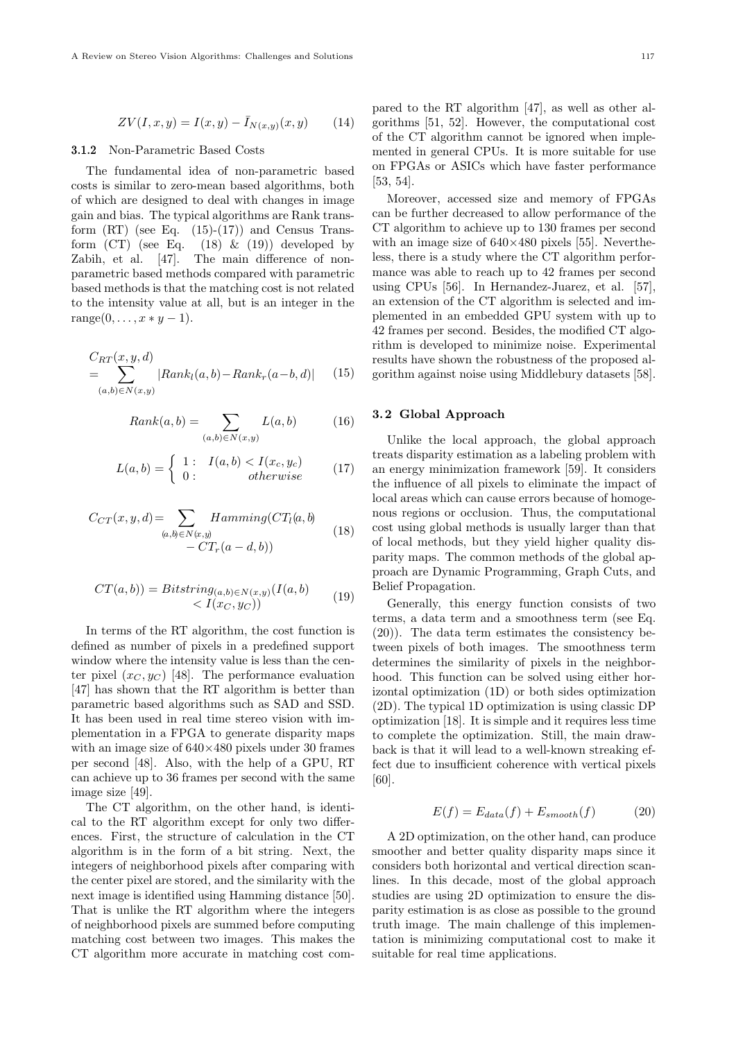$$
ZV(I, x, y) = I(x, y) - \bar{I}_{N(x, y)}(x, y)
$$
 (14)

#### 3.1.2 Non-Parametric Based Costs

The fundamental idea of non-parametric based costs is similar to zero-mean based algorithms, both of which are designed to deal with changes in image gain and bias. The typical algorithms are Rank transform  $(RT)$  (see Eq.  $(15)-(17)$ ) and Census Transform  $(CT)$  (see Eq.  $(18)$  &  $(19)$ ) developed by Zabih, et al. [47]. The main difference of nonparametric based methods compared with parametric based methods is that the matching cost is not related to the intensity value at all, but is an integer in the  $range(0, \ldots, x * y - 1).$ 

$$
C_{RT}(x, y, d)
$$
  
= 
$$
\sum_{(a,b)\in N(x,y)} |Rank_l(a,b) - Rank_r(a-b,d)|
$$
 (15)

$$
Rank(a,b) = \sum_{(a,b)\in N(x,y)} L(a,b) \tag{16}
$$

$$
L(a,b) = \begin{cases} 1: & I(a,b) < I(x_c, y_c) \\ 0: & otherwise \end{cases}
$$
 (17)

$$
C_{CT}(x, y, d) = \sum_{(a, b) \in N(x, y)} Hamming(CT_l(a, b) - CT_r(a - d, b))
$$
\n(18)

$$
CT(a,b)) = Bitsstring_{(a,b)\in N(x,y)}(I(a,b)
$$
  

$$
\langle I(x_C, y_C) \rangle
$$
 (19)

In terms of the RT algorithm, the cost function is defined as number of pixels in a predefined support window where the intensity value is less than the center pixel  $(x_C, y_C)$  [48]. The performance evaluation [47] has shown that the RT algorithm is better than parametric based algorithms such as SAD and SSD. It has been used in real time stereo vision with implementation in a FPGA to generate disparity maps with an image size of 640×480 pixels under 30 frames per second [48]. Also, with the help of a GPU, RT can achieve up to 36 frames per second with the same image size [49].

The CT algorithm, on the other hand, is identical to the RT algorithm except for only two differences. First, the structure of calculation in the CT algorithm is in the form of a bit string. Next, the integers of neighborhood pixels after comparing with the center pixel are stored, and the similarity with the next image is identified using Hamming distance [50]. That is unlike the RT algorithm where the integers of neighborhood pixels are summed before computing matching cost between two images. This makes the CT algorithm more accurate in matching cost compared to the RT algorithm [47], as well as other algorithms [51, 52]. However, the computational cost of the CT algorithm cannot be ignored when implemented in general CPUs. It is more suitable for use on FPGAs or ASICs which have faster performance [53, 54].

Moreover, accessed size and memory of FPGAs can be further decreased to allow performance of the CT algorithm to achieve up to 130 frames per second with an image size of  $640\times480$  pixels [55]. Nevertheless, there is a study where the CT algorithm performance was able to reach up to 42 frames per second using CPUs [56]. In Hernandez-Juarez, et al. [57], an extension of the CT algorithm is selected and implemented in an embedded GPU system with up to 42 frames per second. Besides, the modified CT algorithm is developed to minimize noise. Experimental results have shown the robustness of the proposed algorithm against noise using Middlebury datasets [58].

# 3. 2 Global Approach

Unlike the local approach, the global approach treats disparity estimation as a labeling problem with an energy minimization framework [59]. It considers the influence of all pixels to eliminate the impact of local areas which can cause errors because of homogenous regions or occlusion. Thus, the computational cost using global methods is usually larger than that of local methods, but they yield higher quality disparity maps. The common methods of the global approach are Dynamic Programming, Graph Cuts, and Belief Propagation.

Generally, this energy function consists of two terms, a data term and a smoothness term (see Eq. (20)). The data term estimates the consistency between pixels of both images. The smoothness term determines the similarity of pixels in the neighborhood. This function can be solved using either horizontal optimization (1D) or both sides optimization (2D). The typical 1D optimization is using classic DP optimization [18]. It is simple and it requires less time to complete the optimization. Still, the main drawback is that it will lead to a well-known streaking effect due to insufficient coherence with vertical pixels [60].

$$
E(f) = E_{data}(f) + E_{smooth}(f)
$$
 (20)

A 2D optimization, on the other hand, can produce smoother and better quality disparity maps since it considers both horizontal and vertical direction scanlines. In this decade, most of the global approach studies are using 2D optimization to ensure the disparity estimation is as close as possible to the ground truth image. The main challenge of this implementation is minimizing computational cost to make it suitable for real time applications.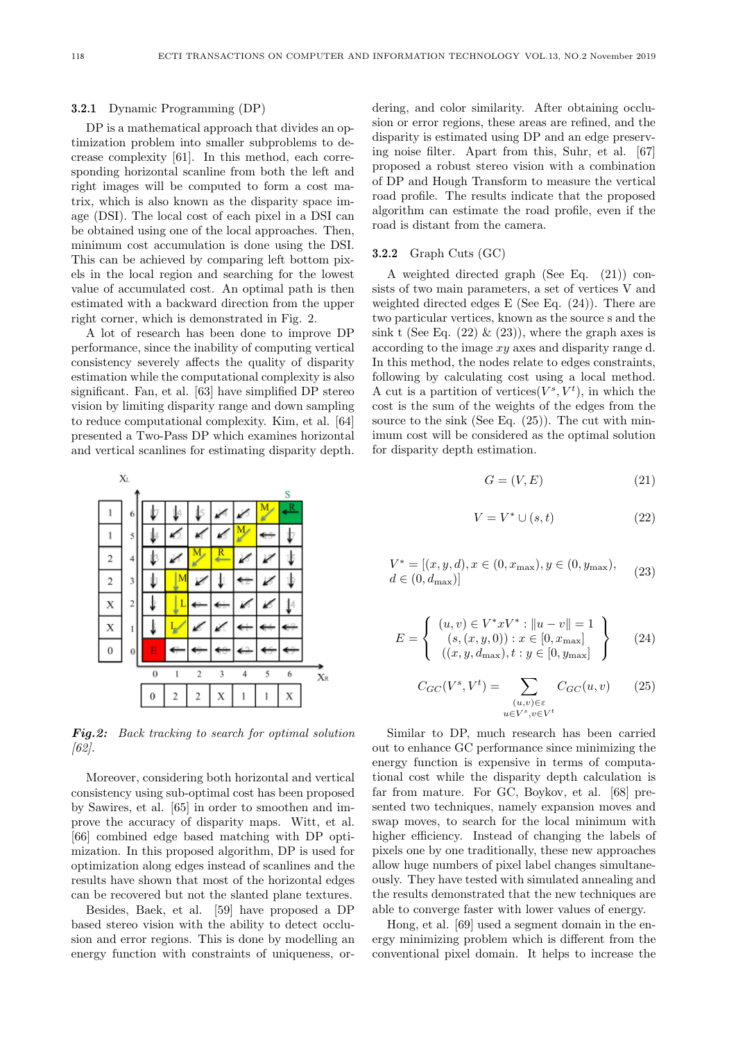#### 3.2.1 Dynamic Programming (DP)

DP is a mathematical approach that divides an optimization problem into smaller subproblems to decrease complexity [61]. In this method, each corresponding horizontal scanline from both the left and right images will be computed to form a cost matrix, which is also known as the disparity space image (DSI). The local cost of each pixel in a DSI can be obtained using one of the local approaches. Then, minimum cost accumulation is done using the DSI. This can be achieved by comparing left bottom pixels in the local region and searching for the lowest value of accumulated cost. An optimal path is then estimated with a backward direction from the upper right corner, which is demonstrated in Fig. 2.

A lot of research has been done to improve DP performance, since the inability of computing vertical consistency severely affects the quality of disparity estimation while the computational complexity is also significant. Fan, et al. [63] have simplified DP stereo vision by limiting disparity range and down sampling to reduce computational complexity. Kim, et al. [64] presented a Two-Pass DP which examines horizontal and vertical scanlines for estimating disparity depth.



Fig.2: Back tracking to search for optimal solution [62].

Moreover, considering both horizontal and vertical consistency using sub-optimal cost has been proposed by Sawires, et al. [65] in order to smoothen and improve the accuracy of disparity maps. Witt, et al. [66] combined edge based matching with DP optimization. In this proposed algorithm, DP is used for optimization along edges instead of scanlines and the results have shown that most of the horizontal edges can be recovered but not the slanted plane textures.

Besides, Baek, et al. [59] have proposed a DP based stereo vision with the ability to detect occlusion and error regions. This is done by modelling an energy function with constraints of uniqueness, ordering, and color similarity. After obtaining occlusion or error regions, these areas are refined, and the disparity is estimated using DP and an edge preserving noise filter. Apart from this, Suhr, et al. [67] proposed a robust stereo vision with a combination of DP and Hough Transform to measure the vertical road profile. The results indicate that the proposed algorithm can estimate the road profile, even if the road is distant from the camera.

#### 3.2.2 Graph Cuts (GC)

A weighted directed graph (See Eq. (21)) consists of two main parameters, a set of vertices V and weighted directed edges E (See Eq. (24)). There are two particular vertices, known as the source s and the sink t (See Eq.  $(22) \& (23)$ ), where the graph axes is according to the image  $xy$  axes and disparity range d. In this method, the nodes relate to edges constraints, following by calculating cost using a local method. A cut is a partition of vertices  $(V^s, V^t)$ , in which the cost is the sum of the weights of the edges from the source to the sink (See Eq.  $(25)$ ). The cut with minimum cost will be considered as the optimal solution for disparity depth estimation.

$$
G = (V, E) \tag{21}
$$

$$
V = V^* \cup (s, t) \tag{22}
$$

$$
V^* = [(x, y, d), x \in (0, x_{\text{max}}), y \in (0, y_{\text{max}}),
$$
  

$$
d \in (0, d_{\text{max}})]
$$
 (23)

$$
E = \left\{ \begin{array}{c} (u, v) \in V^* x V^* : ||u - v|| = 1\\ (s, (x, y, 0)) : x \in [0, x_{\text{max}}] \\ ((x, y, d_{\text{max}}), t : y \in [0, y_{\text{max}}]) \end{array} \right\}
$$
(24)

$$
C_{GC}(V^s, V^t) = \sum_{\substack{(u,v)\in \varepsilon\\u\in V^s, v\in V^t}} C_{GC}(u, v) \qquad (25)
$$

Similar to DP, much research has been carried out to enhance GC performance since minimizing the energy function is expensive in terms of computational cost while the disparity depth calculation is far from mature. For GC, Boykov, et al. [68] presented two techniques, namely expansion moves and swap moves, to search for the local minimum with higher efficiency. Instead of changing the labels of pixels one by one traditionally, these new approaches allow huge numbers of pixel label changes simultaneously. They have tested with simulated annealing and the results demonstrated that the new techniques are able to converge faster with lower values of energy.

Hong, et al. [69] used a segment domain in the energy minimizing problem which is different from the conventional pixel domain. It helps to increase the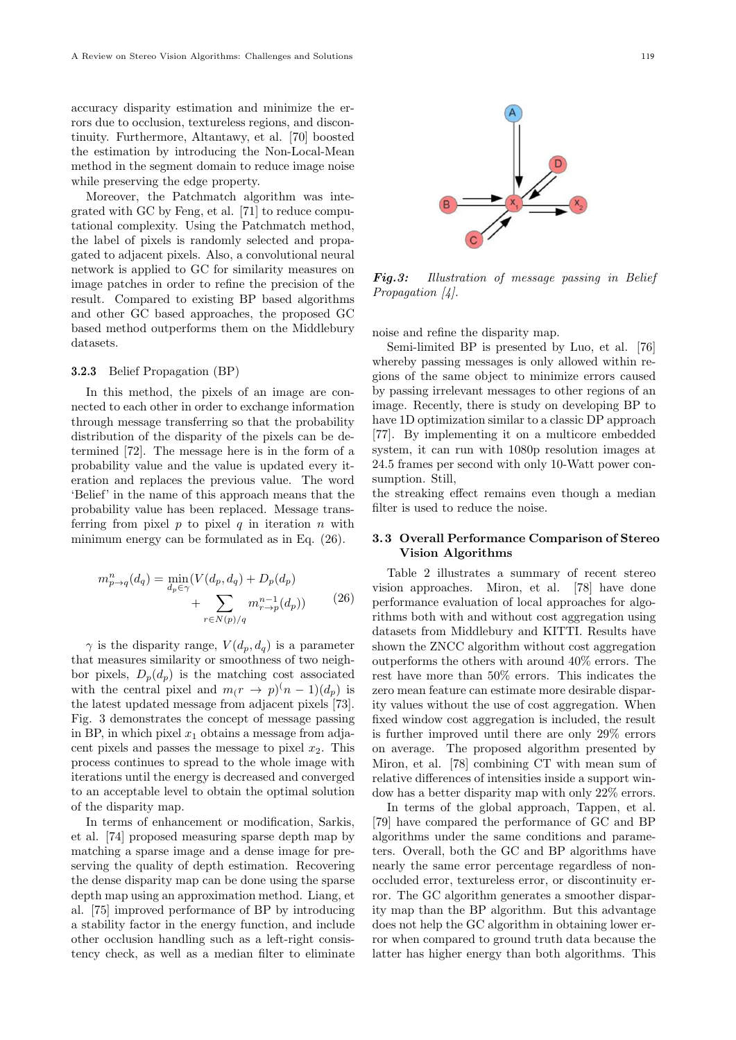accuracy disparity estimation and minimize the errors due to occlusion, textureless regions, and discontinuity. Furthermore, Altantawy, et al. [70] boosted the estimation by introducing the Non-Local-Mean method in the segment domain to reduce image noise while preserving the edge property.

Moreover, the Patchmatch algorithm was integrated with GC by Feng, et al. [71] to reduce computational complexity. Using the Patchmatch method, the label of pixels is randomly selected and propagated to adjacent pixels. Also, a convolutional neural network is applied to GC for similarity measures on image patches in order to refine the precision of the result. Compared to existing BP based algorithms and other GC based approaches, the proposed GC based method outperforms them on the Middlebury datasets.

# 3.2.3 Belief Propagation (BP)

In this method, the pixels of an image are connected to each other in order to exchange information through message transferring so that the probability distribution of the disparity of the pixels can be determined [72]. The message here is in the form of a probability value and the value is updated every iteration and replaces the previous value. The word 'Belief' in the name of this approach means that the probability value has been replaced. Message transferring from pixel  $p$  to pixel  $q$  in iteration  $n$  with minimum energy can be formulated as in Eq. (26).

$$
m_{p \to q}^{n}(d_{q}) = \min_{d_{p} \in \gamma} (V(d_{p}, d_{q}) + D_{p}(d_{p}) + \sum_{r \in N(p)/q} m_{r \to p}^{n-1}(d_{p})) \qquad (26)
$$

 $\gamma$  is the disparity range,  $V(d_p, d_q)$  is a parameter that measures similarity or smoothness of two neighbor pixels,  $D_n(d_n)$  is the matching cost associated with the central pixel and  $m(r \to p)(n-1)(d_p)$  is the latest updated message from adjacent pixels [73]. Fig. 3 demonstrates the concept of message passing in BP, in which pixel  $x_1$  obtains a message from adjacent pixels and passes the message to pixel  $x_2$ . This process continues to spread to the whole image with iterations until the energy is decreased and converged to an acceptable level to obtain the optimal solution of the disparity map.

In terms of enhancement or modification, Sarkis, et al. [74] proposed measuring sparse depth map by matching a sparse image and a dense image for preserving the quality of depth estimation. Recovering the dense disparity map can be done using the sparse depth map using an approximation method. Liang, et al. [75] improved performance of BP by introducing a stability factor in the energy function, and include other occlusion handling such as a left-right consistency check, as well as a median filter to eliminate



Fig.3: Illustration of message passing in Belief Propagation [4].

noise and refine the disparity map.

Semi-limited BP is presented by Luo, et al. [76] whereby passing messages is only allowed within regions of the same object to minimize errors caused by passing irrelevant messages to other regions of an image. Recently, there is study on developing BP to have 1D optimization similar to a classic DP approach [77]. By implementing it on a multicore embedded system, it can run with 1080p resolution images at 24.5 frames per second with only 10-Watt power consumption. Still,

the streaking effect remains even though a median filter is used to reduce the noise.

# 3. 3 Overall Performance Comparison of Stereo Vision Algorithms

Table 2 illustrates a summary of recent stereo vision approaches. Miron, et al. [78] have done performance evaluation of local approaches for algorithms both with and without cost aggregation using datasets from Middlebury and KITTI. Results have shown the ZNCC algorithm without cost aggregation outperforms the others with around 40% errors. The rest have more than 50% errors. This indicates the zero mean feature can estimate more desirable disparity values without the use of cost aggregation. When fixed window cost aggregation is included, the result is further improved until there are only 29% errors on average. The proposed algorithm presented by Miron, et al. [78] combining CT with mean sum of relative differences of intensities inside a support window has a better disparity map with only 22% errors.

In terms of the global approach, Tappen, et al. [79] have compared the performance of GC and BP algorithms under the same conditions and parameters. Overall, both the GC and BP algorithms have nearly the same error percentage regardless of nonoccluded error, textureless error, or discontinuity error. The GC algorithm generates a smoother disparity map than the BP algorithm. But this advantage does not help the GC algorithm in obtaining lower error when compared to ground truth data because the latter has higher energy than both algorithms. This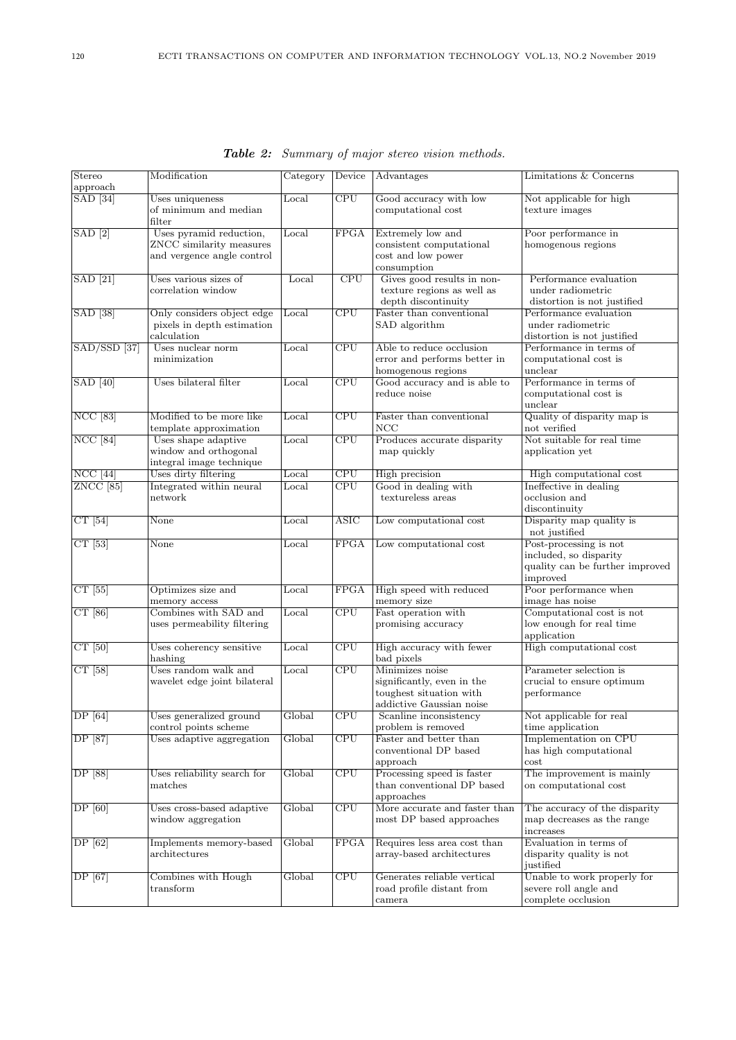| Stereo<br>approach                | Modification                                                                      | Category       | Device                   | Advantages                                                                                           | <b>Limitations &amp; Concerns</b>                                                               |
|-----------------------------------|-----------------------------------------------------------------------------------|----------------|--------------------------|------------------------------------------------------------------------------------------------------|-------------------------------------------------------------------------------------------------|
| $\boxed{\text{SAD} \ \boxed{34}}$ | Uses uniqueness<br>of minimum and median<br>filter                                | Local          | CPU                      | Good accuracy with low<br>computational cost                                                         | Not applicable for high<br>texture images                                                       |
| $\vert$ SAD $\vert$ 2 $\vert$     | Uses pyramid reduction,<br>ZNCC similarity measures<br>and vergence angle control | Local          | FPGA                     | Extremely low and<br>consistent computational<br>cost and low power<br>consumption                   | Poor performance in<br>homogenous regions                                                       |
| $\overline{\text{SAD}$ [21]       | Uses various sizes of<br>correlation window                                       | Local          | $\overline{\text{CPU}}$  | Gives good results in non-<br>texture regions as well as<br>depth discontinuity                      | Performance evaluation<br>under radiometric<br>distortion is not justified                      |
| $[SAD]$ $[38]$                    | Only considers object edge<br>pixels in depth estimation<br>calculation           | Local          | $\overline{\text{CPU}}$  | Faster than conventional<br>SAD algorithm                                                            | Performance evaluation<br>under radiometric<br>distortion is not justified                      |
| $SAD/SSD$ [37]                    | Uses nuclear norm<br>minimization                                                 | Local          | $\overline{\text{CPU}}$  | Able to reduce occlusion<br>error and performs better in<br>homogenous regions                       | Performance in terms of<br>computational cost is<br>unclear                                     |
| $\boxed{\text{SAD}$ [40]          | Uses bilateral filter                                                             | Local          | $\overline{\text{CPU}}$  | Good accuracy and is able to<br>reduce noise                                                         | Performance in terms of<br>computational cost is<br>unclear                                     |
| <b>NCC</b> [83]                   | Modified to be more like<br>template approximation                                | Local          | CPU                      | Faster than conventional<br>NCC                                                                      | Quality of disparity map is<br>not verified                                                     |
| $NCC$ [84]                        | Uses shape adaptive<br>window and orthogonal<br>integral image technique          | Local          | CPU                      | Produces accurate disparity<br>map quickly                                                           | Not suitable for real time<br>application yet                                                   |
| $NCC$ [44]                        | Uses dirty filtering                                                              | Local          | $\overline{\text{CPU}}$  | High precision                                                                                       | High computational cost                                                                         |
| ZNCC <sup>[85]</sup>              | Integrated within neural<br>network                                               | $_{\rm Local}$ | CPU                      | Good in dealing with<br>textureless areas                                                            | Ineffective in dealing<br>occlusion and<br>discontinuity                                        |
| $CT$ [54]                         | None                                                                              | Local          | $\overline{\text{ASIC}}$ | Low computational cost                                                                               | Disparity map quality is<br>not justified                                                       |
| $CT$ [53]                         | None                                                                              | Local          | <b>FPGA</b>              | Low computational cost                                                                               | Post-processing is not<br>included, so disparity<br>quality can be further improved<br>improved |
| $CT$ [55]                         | Optimizes size and<br>memory access                                               | Local          | <b>FPGA</b>              | High speed with reduced<br>memory size                                                               | Poor performance when<br>image has noise                                                        |
| CT[86]                            | Combines with SAD and<br>uses permeability filtering                              | Local          | $\overline{\text{CPU}}$  | Fast operation with<br>promising accuracy                                                            | Computational cost is not<br>low enough for real time<br>application                            |
| $CT$ [50]                         | Uses coherency sensitive<br>hashing                                               | Local          | $\overline{\text{CPU}}$  | High accuracy with fewer<br>bad pixels                                                               | High computational cost                                                                         |
| CT[58]                            | Uses random walk and<br>wavelet edge joint bilateral                              | Local          | $\overline{\text{CPU}}$  | Minimizes noise<br>significantly, even in the<br>toughest situation with<br>addictive Gaussian noise | Parameter selection is<br>crucial to ensure optimum<br>performance                              |
| $\overline{DP[64]}$               | Uses generalized ground<br>control points scheme                                  | Global         | $\overline{\text{CPU}}$  | Scanline inconsistency<br>problem is removed                                                         | Not applicable for real<br>time application                                                     |
| DP [87]                           | Uses adaptive aggregation                                                         | Global         | $\overline{\text{CPU}}$  | Faster and better than<br>conventional DP based<br>approach                                          | Implementation on CPU<br>has high computational<br>$\cot$                                       |
| DP [88]                           | Uses reliability search for<br>matches                                            | Global         | CPU                      | Processing speed is faster<br>than conventional DP based<br>approaches                               | The improvement is mainly<br>on computational cost                                              |
| DF[60]                            | Uses cross-based adaptive<br>window aggregation                                   | Global         | $\overline{\text{CPU}}$  | More accurate and faster than<br>most DP based approaches                                            | The accuracy of the disparity<br>map decreases as the range<br>increases                        |
| $\overline{DP}$ [62]              | Implements memory-based<br>architectures                                          | Global         | <b>FPGA</b>              | Requires less area cost than<br>array-based architectures                                            | Evaluation in terms of<br>disparity quality is not<br>justified                                 |
| DP [67]                           | Combines with Hough<br>transform                                                  | Global         | CPU                      | Generates reliable vertical<br>road profile distant from<br>camera                                   | Unable to work properly for<br>severe roll angle and<br>complete occlusion                      |

Table 2: Summary of major stereo vision methods.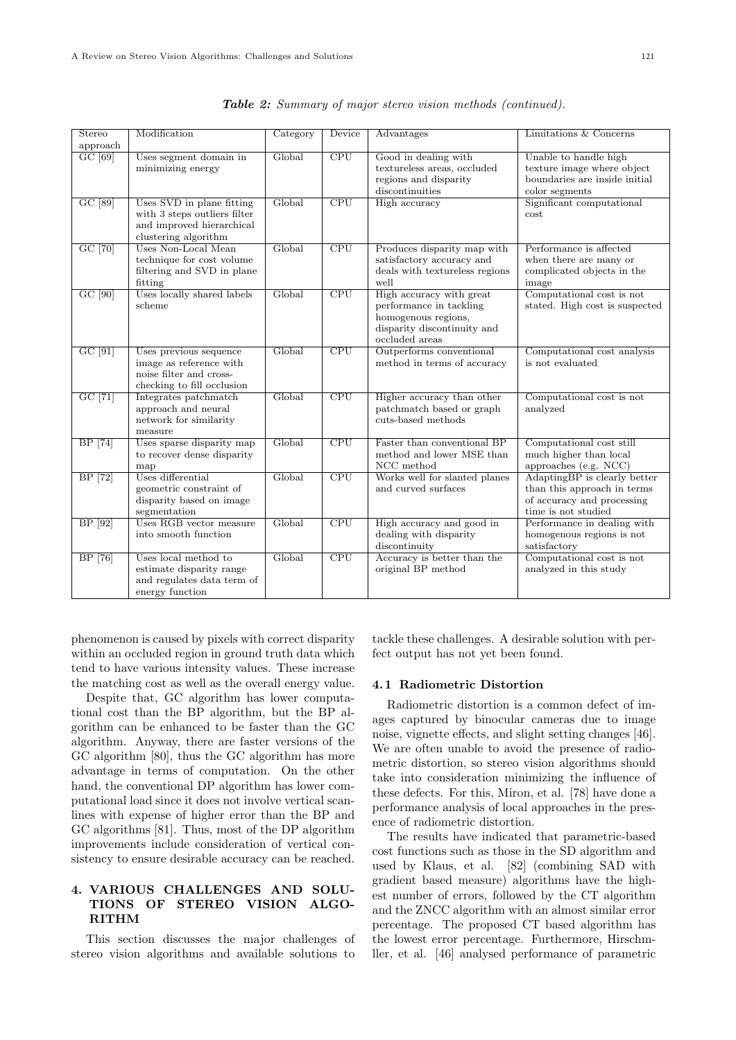| Stereo         | Modification                                                                                                   | Category | Device                  | Advantages                                                                                                                  | Limitations & Concerns                                                                                           |
|----------------|----------------------------------------------------------------------------------------------------------------|----------|-------------------------|-----------------------------------------------------------------------------------------------------------------------------|------------------------------------------------------------------------------------------------------------------|
| approach       |                                                                                                                |          |                         |                                                                                                                             |                                                                                                                  |
| GC [69]        | Uses segment domain in<br>minimizing energy                                                                    | Global   | CPU                     | Good in dealing with<br>textureless areas, occluded<br>regions and disparity<br>discontinuities                             | Unable to handle high<br>texture image where object<br>boundaries are inside initial<br>color segments           |
| GC [89]        | Uses SVD in plane fitting<br>with 3 steps outliers filter<br>and improved hierarchical<br>clustering algorithm | Global   | CPU                     | High accuracy                                                                                                               | Significant computational<br>cost                                                                                |
| GC [70]        | Uses Non-Local Mean<br>technique for cost volume<br>filtering and SVD in plane<br>fitting                      | Global   | CPU                     | Produces disparity map with<br>satisfactory accuracy and<br>deals with textureless regions<br>well                          | Performance is affected<br>when there are many or<br>complicated objects in the<br>image                         |
| $GC$ [90]      | Uses locally shared labels<br>scheme                                                                           | Global   | $\overline{\text{CPU}}$ | High accuracy with great<br>performance in tackling<br>homogenous regions,<br>disparity discontinuity and<br>occluded areas | Computational cost is not<br>stated. High cost is suspected                                                      |
| $GC$ [91]      | Uses previous sequence<br>image as reference with<br>noise filter and cross-<br>checking to fill occlusion     | Global   | CPU                     | Outperforms conventional<br>method in terms of accuracy                                                                     | Computational cost analysis<br>is not evaluated                                                                  |
| GC [71]        | Integrates patchmatch<br>approach and neural<br>network for similarity<br>measure                              | Global   | CPU                     | Higher accuracy than other<br>patchmatch based or graph<br>cuts-based methods                                               | Computational cost is not<br>analyzed                                                                            |
| <b>BP</b> [74] | Uses sparse disparity map<br>to recover dense disparity<br>map                                                 | Global   | $\overline{\text{CPU}}$ | Faster than conventional BP<br>method and lower MSE than<br>NCC method                                                      | Computational cost still<br>much higher than local<br>approaches (e.g. NCC)                                      |
| BP [72]        | Uses differential<br>geometric constraint of<br>disparity based on image<br>segmentation                       | Global   | $\overline{\text{CPU}}$ | Works well for slanted planes<br>and curved surfaces                                                                        | AdaptingBP is clearly better<br>than this approach in terms<br>of accuracy and processing<br>time is not studied |
| BP [92]        | Uses RGB vector measure<br>into smooth function                                                                | Global   | CPU                     | High accuracy and good in<br>dealing with disparity<br>discontinuity                                                        | Performance in dealing with<br>homogenous regions is not<br>satisfactory                                         |
| <b>BP</b> [76] | Uses local method to<br>estimate disparity range<br>and regulates data term of<br>energy function              | Global   | $\overline{\text{CPU}}$ | Accuracy is better than the<br>original BP method                                                                           | Computational cost is not<br>analyzed in this study                                                              |

|  | Table 2: Summary of major stereo vision methods (continued). |  |  |  |  |  |  |  |
|--|--------------------------------------------------------------|--|--|--|--|--|--|--|
|--|--------------------------------------------------------------|--|--|--|--|--|--|--|

phenomenon is caused by pixels with correct disparity within an occluded region in ground truth data which tend to have various intensity values. These increase the matching cost as well as the overall energy value.

Despite that, GC algorithm has lower computational cost than the BP algorithm, but the BP algorithm can be enhanced to be faster than the GC algorithm. Anyway, there are faster versions of the GC algorithm [80], thus the GC algorithm has more advantage in terms of computation. On the other hand, the conventional DP algorithm has lower computational load since it does not involve vertical scanlines with expense of higher error than the BP and GC algorithms [81]. Thus, most of the DP algorithm improvements include consideration of vertical consistency to ensure desirable accuracy can be reached.

# 4. VARIOUS CHALLENGES AND SOLU-TIONS OF STEREO VISION ALGO-RITHM

This section discusses the major challenges of stereo vision algorithms and available solutions to

tackle these challenges. A desirable solution with perfect output has not yet been found.

#### 4. 1 Radiometric Distortion

Radiometric distortion is a common defect of images captured by binocular cameras due to image noise, vignette effects, and slight setting changes [46]. We are often unable to avoid the presence of radiometric distortion, so stereo vision algorithms should take into consideration minimizing the influence of these defects. For this, Miron, et al. [78] have done a performance analysis of local approaches in the presence of radiometric distortion.

The results have indicated that parametric-based cost functions such as those in the SD algorithm and used by Klaus, et al. [82] (combining SAD with gradient based measure) algorithms have the highest number of errors, followed by the CT algorithm and the ZNCC algorithm with an almost similar error percentage. The proposed CT based algorithm has the lowest error percentage. Furthermore, Hirschmller, et al. [46] analysed performance of parametric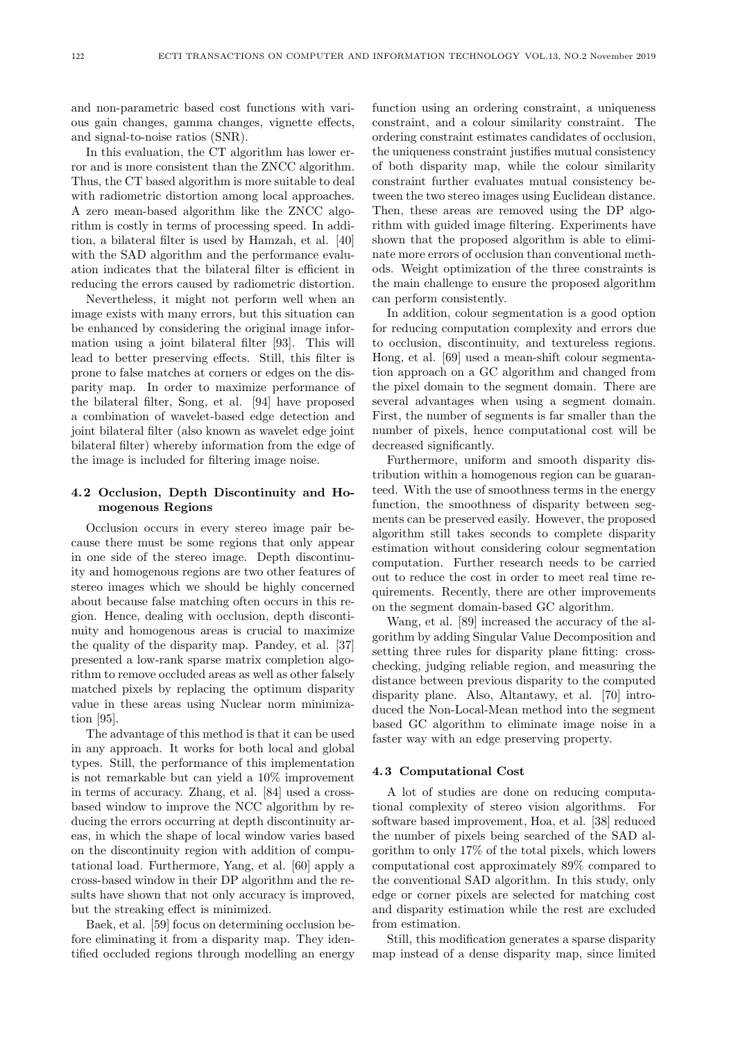and non-parametric based cost functions with various gain changes, gamma changes, vignette effects, and signal-to-noise ratios (SNR).

In this evaluation, the CT algorithm has lower error and is more consistent than the ZNCC algorithm. Thus, the CT based algorithm is more suitable to deal with radiometric distortion among local approaches. A zero mean-based algorithm like the ZNCC algorithm is costly in terms of processing speed. In addition, a bilateral filter is used by Hamzah, et al. [40] with the SAD algorithm and the performance evaluation indicates that the bilateral filter is efficient in reducing the errors caused by radiometric distortion.

Nevertheless, it might not perform well when an image exists with many errors, but this situation can be enhanced by considering the original image information using a joint bilateral filter [93]. This will lead to better preserving effects. Still, this filter is prone to false matches at corners or edges on the disparity map. In order to maximize performance of the bilateral filter, Song, et al. [94] have proposed a combination of wavelet-based edge detection and joint bilateral filter (also known as wavelet edge joint bilateral filter) whereby information from the edge of the image is included for filtering image noise.

# 4. 2 Occlusion, Depth Discontinuity and Homogenous Regions

Occlusion occurs in every stereo image pair because there must be some regions that only appear in one side of the stereo image. Depth discontinuity and homogenous regions are two other features of stereo images which we should be highly concerned about because false matching often occurs in this region. Hence, dealing with occlusion, depth discontinuity and homogenous areas is crucial to maximize the quality of the disparity map. Pandey, et al. [37] presented a low-rank sparse matrix completion algorithm to remove occluded areas as well as other falsely matched pixels by replacing the optimum disparity value in these areas using Nuclear norm minimization [95].

The advantage of this method is that it can be used in any approach. It works for both local and global types. Still, the performance of this implementation is not remarkable but can yield a 10% improvement in terms of accuracy. Zhang, et al. [84] used a crossbased window to improve the NCC algorithm by reducing the errors occurring at depth discontinuity areas, in which the shape of local window varies based on the discontinuity region with addition of computational load. Furthermore, Yang, et al. [60] apply a cross-based window in their DP algorithm and the results have shown that not only accuracy is improved, but the streaking effect is minimized.

Baek, et al. [59] focus on determining occlusion before eliminating it from a disparity map. They identified occluded regions through modelling an energy

function using an ordering constraint, a uniqueness constraint, and a colour similarity constraint. The ordering constraint estimates candidates of occlusion, the uniqueness constraint justifies mutual consistency of both disparity map, while the colour similarity constraint further evaluates mutual consistency between the two stereo images using Euclidean distance. Then, these areas are removed using the DP algorithm with guided image filtering. Experiments have shown that the proposed algorithm is able to eliminate more errors of occlusion than conventional methods. Weight optimization of the three constraints is the main challenge to ensure the proposed algorithm can perform consistently.

In addition, colour segmentation is a good option for reducing computation complexity and errors due to occlusion, discontinuity, and textureless regions. Hong, et al. [69] used a mean-shift colour segmentation approach on a GC algorithm and changed from the pixel domain to the segment domain. There are several advantages when using a segment domain. First, the number of segments is far smaller than the number of pixels, hence computational cost will be decreased significantly.

Furthermore, uniform and smooth disparity distribution within a homogenous region can be guaranteed. With the use of smoothness terms in the energy function, the smoothness of disparity between segments can be preserved easily. However, the proposed algorithm still takes seconds to complete disparity estimation without considering colour segmentation computation. Further research needs to be carried out to reduce the cost in order to meet real time requirements. Recently, there are other improvements on the segment domain-based GC algorithm.

Wang, et al. [89] increased the accuracy of the algorithm by adding Singular Value Decomposition and setting three rules for disparity plane fitting: crosschecking, judging reliable region, and measuring the distance between previous disparity to the computed disparity plane. Also, Altantawy, et al. [70] introduced the Non-Local-Mean method into the segment based GC algorithm to eliminate image noise in a faster way with an edge preserving property.

## 4. 3 Computational Cost

A lot of studies are done on reducing computational complexity of stereo vision algorithms. For software based improvement, Hoa, et al. [38] reduced the number of pixels being searched of the SAD algorithm to only 17% of the total pixels, which lowers computational cost approximately 89% compared to the conventional SAD algorithm. In this study, only edge or corner pixels are selected for matching cost and disparity estimation while the rest are excluded from estimation.

Still, this modification generates a sparse disparity map instead of a dense disparity map, since limited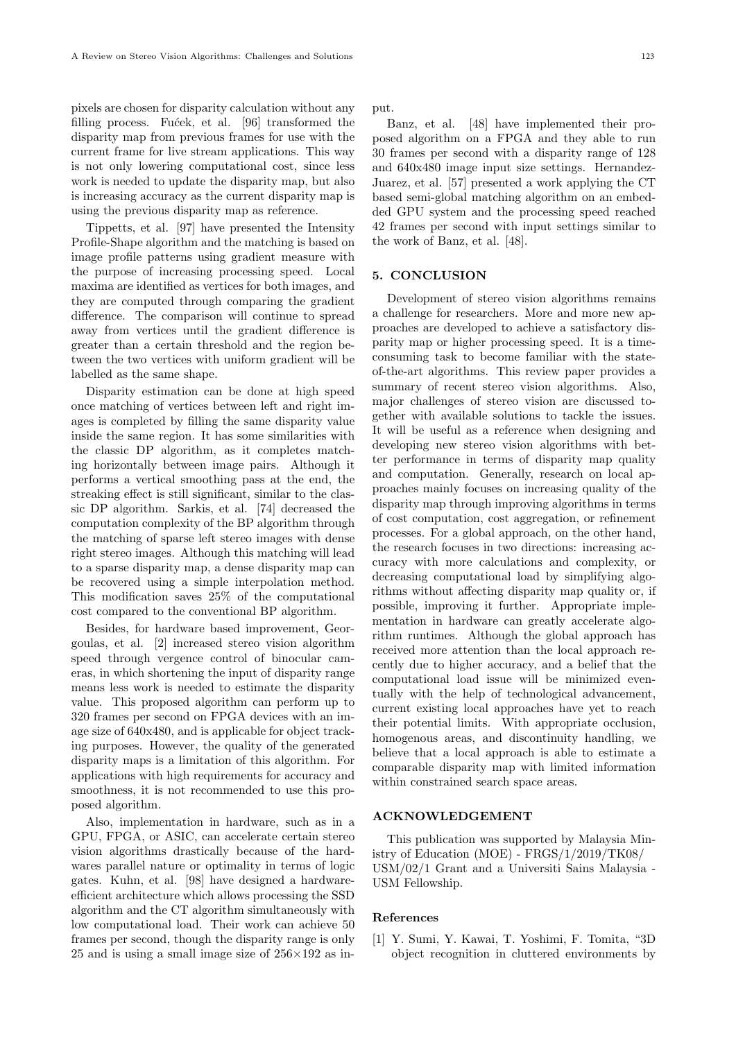pixels are chosen for disparity calculation without any filling process. Fucek, et al. [96] transformed the disparity map from previous frames for use with the current frame for live stream applications. This way is not only lowering computational cost, since less work is needed to update the disparity map, but also is increasing accuracy as the current disparity map is using the previous disparity map as reference.

Tippetts, et al. [97] have presented the Intensity Profile-Shape algorithm and the matching is based on image profile patterns using gradient measure with the purpose of increasing processing speed. Local maxima are identified as vertices for both images, and they are computed through comparing the gradient difference. The comparison will continue to spread away from vertices until the gradient difference is greater than a certain threshold and the region between the two vertices with uniform gradient will be labelled as the same shape.

Disparity estimation can be done at high speed once matching of vertices between left and right images is completed by filling the same disparity value inside the same region. It has some similarities with the classic DP algorithm, as it completes matching horizontally between image pairs. Although it performs a vertical smoothing pass at the end, the streaking effect is still significant, similar to the classic DP algorithm. Sarkis, et al. [74] decreased the computation complexity of the BP algorithm through the matching of sparse left stereo images with dense right stereo images. Although this matching will lead to a sparse disparity map, a dense disparity map can be recovered using a simple interpolation method. This modification saves 25% of the computational cost compared to the conventional BP algorithm.

Besides, for hardware based improvement, Georgoulas, et al. [2] increased stereo vision algorithm speed through vergence control of binocular cameras, in which shortening the input of disparity range means less work is needed to estimate the disparity value. This proposed algorithm can perform up to 320 frames per second on FPGA devices with an image size of 640x480, and is applicable for object tracking purposes. However, the quality of the generated disparity maps is a limitation of this algorithm. For applications with high requirements for accuracy and smoothness, it is not recommended to use this proposed algorithm.

Also, implementation in hardware, such as in a GPU, FPGA, or ASIC, can accelerate certain stereo vision algorithms drastically because of the hardwares parallel nature or optimality in terms of logic gates. Kuhn, et al. [98] have designed a hardwareefficient architecture which allows processing the SSD algorithm and the CT algorithm simultaneously with low computational load. Their work can achieve 50 frames per second, though the disparity range is only 25 and is using a small image size of  $256\times192$  as input.

Banz, et al. [48] have implemented their proposed algorithm on a FPGA and they able to run 30 frames per second with a disparity range of 128 and 640x480 image input size settings. Hernandez-Juarez, et al. [57] presented a work applying the CT based semi-global matching algorithm on an embedded GPU system and the processing speed reached 42 frames per second with input settings similar to the work of Banz, et al. [48].

# 5. CONCLUSION

Development of stereo vision algorithms remains a challenge for researchers. More and more new approaches are developed to achieve a satisfactory disparity map or higher processing speed. It is a timeconsuming task to become familiar with the stateof-the-art algorithms. This review paper provides a summary of recent stereo vision algorithms. Also, major challenges of stereo vision are discussed together with available solutions to tackle the issues. It will be useful as a reference when designing and developing new stereo vision algorithms with better performance in terms of disparity map quality and computation. Generally, research on local approaches mainly focuses on increasing quality of the disparity map through improving algorithms in terms of cost computation, cost aggregation, or refinement processes. For a global approach, on the other hand, the research focuses in two directions: increasing accuracy with more calculations and complexity, or decreasing computational load by simplifying algorithms without affecting disparity map quality or, if possible, improving it further. Appropriate implementation in hardware can greatly accelerate algorithm runtimes. Although the global approach has received more attention than the local approach recently due to higher accuracy, and a belief that the computational load issue will be minimized eventually with the help of technological advancement, current existing local approaches have yet to reach their potential limits. With appropriate occlusion, homogenous areas, and discontinuity handling, we believe that a local approach is able to estimate a comparable disparity map with limited information within constrained search space areas.

# ACKNOWLEDGEMENT

This publication was supported by Malaysia Ministry of Education (MOE) - FRGS/1/2019/TK08/ USM/02/1 Grant and a Universiti Sains Malaysia - USM Fellowship.

#### References

[1] Y. Sumi, Y. Kawai, T. Yoshimi, F. Tomita, "3D object recognition in cluttered environments by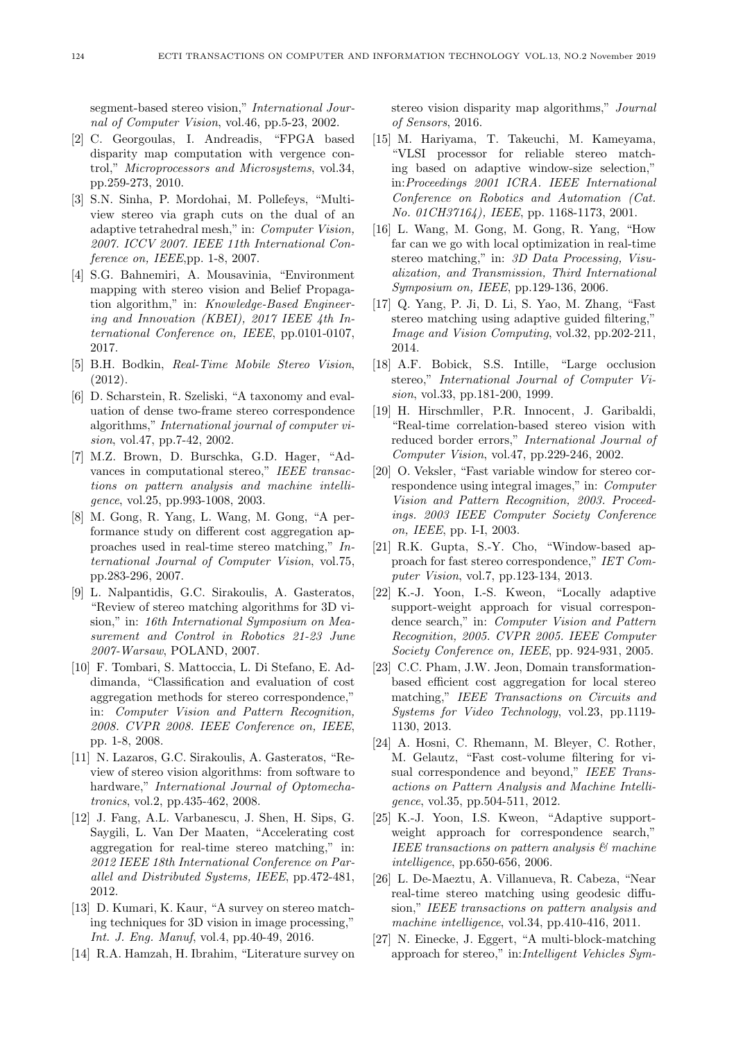segment-based stereo vision," International Journal of Computer Vision, vol.46, pp.5-23, 2002.

- [2] C. Georgoulas, I. Andreadis, "FPGA based disparity map computation with vergence control," Microprocessors and Microsystems, vol.34, pp.259-273, 2010.
- [3] S.N. Sinha, P. Mordohai, M. Pollefeys, "Multiview stereo via graph cuts on the dual of an adaptive tetrahedral mesh," in: Computer Vision, 2007. ICCV 2007. IEEE 11th International Conference on, IEEE,pp. 1-8, 2007.
- [4] S.G. Bahnemiri, A. Mousavinia, "Environment mapping with stereo vision and Belief Propagation algorithm," in: Knowledge-Based Engineering and Innovation (KBEI), 2017 IEEE 4th International Conference on, IEEE, pp.0101-0107, 2017.
- [5] B.H. Bodkin, Real-Time Mobile Stereo Vision, (2012).
- [6] D. Scharstein, R. Szeliski, "A taxonomy and evaluation of dense two-frame stereo correspondence algorithms," International journal of computer vision, vol.47, pp.7-42, 2002.
- [7] M.Z. Brown, D. Burschka, G.D. Hager, "Advances in computational stereo," IEEE transactions on pattern analysis and machine intelligence, vol.25, pp.993-1008, 2003.
- [8] M. Gong, R. Yang, L. Wang, M. Gong, "A performance study on different cost aggregation approaches used in real-time stereo matching," International Journal of Computer Vision, vol.75, pp.283-296, 2007.
- [9] L. Nalpantidis, G.C. Sirakoulis, A. Gasteratos, "Review of stereo matching algorithms for 3D vision," in: 16th International Symposium on Measurement and Control in Robotics 21-23 June 2007-Warsaw, POLAND, 2007.
- [10] F. Tombari, S. Mattoccia, L. Di Stefano, E. Addimanda, "Classification and evaluation of cost aggregation methods for stereo correspondence," in: Computer Vision and Pattern Recognition, 2008. CVPR 2008. IEEE Conference on, IEEE, pp. 1-8, 2008.
- [11] N. Lazaros, G.C. Sirakoulis, A. Gasteratos, "Review of stereo vision algorithms: from software to hardware," International Journal of Optomechatronics, vol.2, pp.435-462, 2008.
- [12] J. Fang, A.L. Varbanescu, J. Shen, H. Sips, G. Saygili, L. Van Der Maaten, "Accelerating cost aggregation for real-time stereo matching," in: 2012 IEEE 18th International Conference on Parallel and Distributed Systems, IEEE, pp.472-481, 2012.
- [13] D. Kumari, K. Kaur, "A survey on stereo matching techniques for 3D vision in image processing," Int. J. Eng. Manuf, vol.4, pp.40-49, 2016.
- [14] R.A. Hamzah, H. Ibrahim, "Literature survey on

stereo vision disparity map algorithms," Journal of Sensors, 2016.

- [15] M. Hariyama, T. Takeuchi, M. Kameyama, "VLSI processor for reliable stereo matching based on adaptive window-size selection," in:Proceedings 2001 ICRA. IEEE International Conference on Robotics and Automation (Cat. No. 01CH37164), IEEE, pp. 1168-1173, 2001.
- [16] L. Wang, M. Gong, M. Gong, R. Yang, "How far can we go with local optimization in real-time stereo matching," in: 3D Data Processing, Visualization, and Transmission, Third International Symposium on, IEEE, pp.129-136, 2006.
- [17] Q. Yang, P. Ji, D. Li, S. Yao, M. Zhang, "Fast stereo matching using adaptive guided filtering," Image and Vision Computing, vol.32, pp.202-211, 2014.
- [18] A.F. Bobick, S.S. Intille, "Large occlusion stereo," International Journal of Computer Vision, vol.33, pp.181-200, 1999.
- [19] H. Hirschmller, P.R. Innocent, J. Garibaldi, "Real-time correlation-based stereo vision with reduced border errors," International Journal of Computer Vision, vol.47, pp.229-246, 2002.
- [20] O. Veksler, "Fast variable window for stereo correspondence using integral images," in: Computer Vision and Pattern Recognition, 2003. Proceedings. 2003 IEEE Computer Society Conference on, IEEE, pp. I-I, 2003.
- [21] R.K. Gupta, S.-Y. Cho, "Window-based approach for fast stereo correspondence," IET Computer Vision, vol.7, pp.123-134, 2013.
- [22] K.-J. Yoon, I.-S. Kweon, "Locally adaptive support-weight approach for visual correspondence search," in: Computer Vision and Pattern Recognition, 2005. CVPR 2005. IEEE Computer Society Conference on, IEEE, pp. 924-931, 2005.
- [23] C.C. Pham, J.W. Jeon, Domain transformationbased efficient cost aggregation for local stereo matching," IEEE Transactions on Circuits and Systems for Video Technology, vol.23, pp.1119- 1130, 2013.
- [24] A. Hosni, C. Rhemann, M. Bleyer, C. Rother, M. Gelautz, "Fast cost-volume filtering for visual correspondence and beyond," IEEE Transactions on Pattern Analysis and Machine Intelligence, vol.35, pp.504-511, 2012.
- [25] K.-J. Yoon, I.S. Kweon, "Adaptive supportweight approach for correspondence search," IEEE transactions on pattern analysis & machine intelligence, pp.650-656, 2006.
- [26] L. De-Maeztu, A. Villanueva, R. Cabeza, "Near real-time stereo matching using geodesic diffusion," IEEE transactions on pattern analysis and machine intelligence, vol.34, pp.410-416, 2011.
- [27] N. Einecke, J. Eggert, "A multi-block-matching approach for stereo," in:Intelligent Vehicles Sym-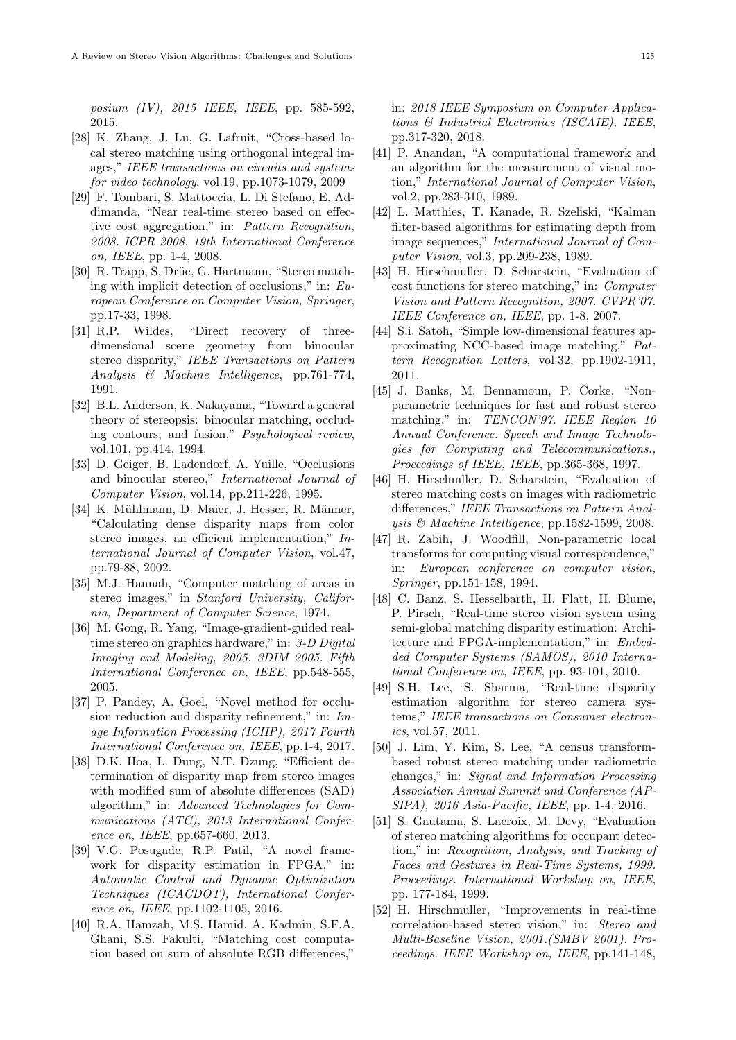posium (IV), 2015 IEEE, IEEE, pp. 585-592, 2015.

- [28] K. Zhang, J. Lu, G. Lafruit, "Cross-based local stereo matching using orthogonal integral images," IEEE transactions on circuits and systems for video technology, vol.19, pp.1073-1079, 2009
- [29] F. Tombari, S. Mattoccia, L. Di Stefano, E. Addimanda, "Near real-time stereo based on effective cost aggregation," in: Pattern Recognition, 2008. ICPR 2008. 19th International Conference on, IEEE, pp. 1-4, 2008.
- [30] R. Trapp, S. Drüe, G. Hartmann, "Stereo matching with implicit detection of occlusions," in: European Conference on Computer Vision, Springer, pp.17-33, 1998.
- [31] R.P. Wildes, "Direct recovery of threedimensional scene geometry from binocular stereo disparity," IEEE Transactions on Pattern Analysis & Machine Intelligence, pp.761-774, 1991.
- [32] B.L. Anderson, K. Nakayama, "Toward a general theory of stereopsis: binocular matching, occluding contours, and fusion," Psychological review, vol.101, pp.414, 1994.
- [33] D. Geiger, B. Ladendorf, A. Yuille, "Occlusions and binocular stereo," International Journal of Computer Vision, vol.14, pp.211-226, 1995.
- [34] K. Mühlmann, D. Maier, J. Hesser, R. Männer, "Calculating dense disparity maps from color stereo images, an efficient implementation," International Journal of Computer Vision, vol.47, pp.79-88, 2002.
- [35] M.J. Hannah, "Computer matching of areas in stereo images," in Stanford University, California, Department of Computer Science, 1974.
- [36] M. Gong, R. Yang, "Image-gradient-guided realtime stereo on graphics hardware," in: 3-D Digital Imaging and Modeling, 2005. 3DIM 2005. Fifth International Conference on, IEEE, pp.548-555, 2005.
- [37] P. Pandey, A. Goel, "Novel method for occlusion reduction and disparity refinement," in: Image Information Processing (ICIIP), 2017 Fourth International Conference on, IEEE, pp.1-4, 2017.
- [38] D.K. Hoa, L. Dung, N.T. Dzung, "Efficient determination of disparity map from stereo images with modified sum of absolute differences (SAD) algorithm," in: Advanced Technologies for Communications (ATC), 2013 International Conference on, IEEE, pp.657-660, 2013.
- [39] V.G. Posugade, R.P. Patil, "A novel framework for disparity estimation in FPGA," in: Automatic Control and Dynamic Optimization Techniques (ICACDOT), International Conference on, IEEE, pp.1102-1105, 2016.
- [40] R.A. Hamzah, M.S. Hamid, A. Kadmin, S.F.A. Ghani, S.S. Fakulti, "Matching cost computation based on sum of absolute RGB differences,"

in: 2018 IEEE Symposium on Computer Applications & Industrial Electronics (ISCAIE), IEEE, pp.317-320, 2018.

- [41] P. Anandan, "A computational framework and an algorithm for the measurement of visual motion," International Journal of Computer Vision, vol.2, pp.283-310, 1989.
- [42] L. Matthies, T. Kanade, R. Szeliski, "Kalman filter-based algorithms for estimating depth from image sequences," International Journal of Computer Vision, vol.3, pp.209-238, 1989.
- [43] H. Hirschmuller, D. Scharstein, "Evaluation of cost functions for stereo matching," in: Computer Vision and Pattern Recognition, 2007. CVPR'07. IEEE Conference on, IEEE, pp. 1-8, 2007.
- [44] S.i. Satoh, "Simple low-dimensional features approximating NCC-based image matching," Pattern Recognition Letters, vol.32, pp.1902-1911, 2011.
- [45] J. Banks, M. Bennamoun, P. Corke, "Nonparametric techniques for fast and robust stereo matching," in: TENCON'97. IEEE Region 10 Annual Conference. Speech and Image Technologies for Computing and Telecommunications., Proceedings of IEEE, IEEE, pp.365-368, 1997.
- [46] H. Hirschmller, D. Scharstein, "Evaluation of stereo matching costs on images with radiometric differences," IEEE Transactions on Pattern Analysis & Machine Intelligence, pp.1582-1599, 2008.
- [47] R. Zabih, J. Woodfill, Non-parametric local transforms for computing visual correspondence," in: European conference on computer vision, Springer, pp.151-158, 1994.
- [48] C. Banz, S. Hesselbarth, H. Flatt, H. Blume, P. Pirsch, "Real-time stereo vision system using semi-global matching disparity estimation: Architecture and FPGA-implementation," in: Embedded Computer Systems (SAMOS), 2010 International Conference on, IEEE, pp. 93-101, 2010.
- [49] S.H. Lee, S. Sharma, "Real-time disparity estimation algorithm for stereo camera systems," IEEE transactions on Consumer electronics, vol.57, 2011.
- [50] J. Lim, Y. Kim, S. Lee, "A census transformbased robust stereo matching under radiometric changes," in: Signal and Information Processing Association Annual Summit and Conference (AP-SIPA), 2016 Asia-Pacific, IEEE, pp. 1-4, 2016.
- [51] S. Gautama, S. Lacroix, M. Devy, "Evaluation of stereo matching algorithms for occupant detection," in: Recognition, Analysis, and Tracking of Faces and Gestures in Real-Time Systems, 1999. Proceedings. International Workshop on, IEEE, pp. 177-184, 1999.
- [52] H. Hirschmuller, "Improvements in real-time correlation-based stereo vision," in: Stereo and Multi-Baseline Vision, 2001.(SMBV 2001). Proceedings. IEEE Workshop on, IEEE, pp.141-148,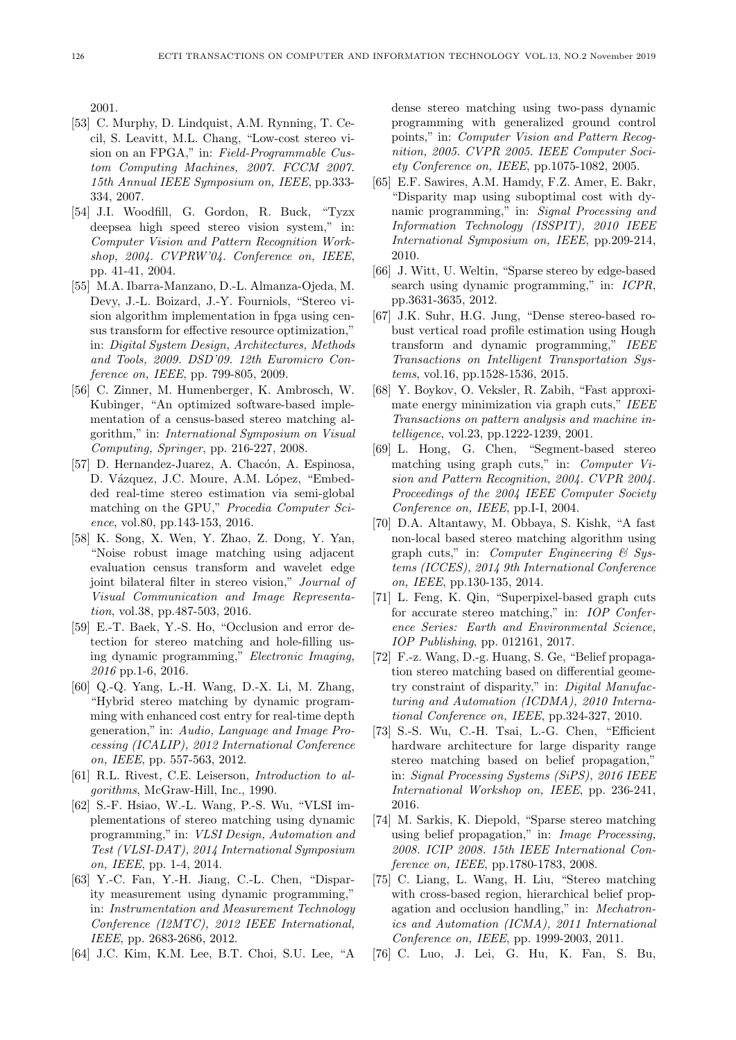2001.

- [53] C. Murphy, D. Lindquist, A.M. Rynning, T. Cecil, S. Leavitt, M.L. Chang, "Low-cost stereo vision on an FPGA," in: Field-Programmable Custom Computing Machines, 2007. FCCM 2007. 15th Annual IEEE Symposium on, IEEE, pp.333- 334, 2007.
- [54] J.I. Woodfill, G. Gordon, R. Buck, "Tyzx deepsea high speed stereo vision system," in: Computer Vision and Pattern Recognition Workshop, 2004. CVPRW'04. Conference on, IEEE, pp. 41-41, 2004.
- [55] M.A. Ibarra-Manzano, D.-L. Almanza-Ojeda, M. Devy, J.-L. Boizard, J.-Y. Fourniols, "Stereo vision algorithm implementation in fpga using census transform for effective resource optimization," in: Digital System Design, Architectures, Methods and Tools, 2009. DSD'09. 12th Euromicro Conference on, IEEE, pp. 799-805, 2009.
- [56] C. Zinner, M. Humenberger, K. Ambrosch, W. Kubinger, "An optimized software-based implementation of a census-based stereo matching algorithm," in: International Symposium on Visual Computing, Springer, pp. 216-227, 2008.
- [57] D. Hernandez-Juarez, A. Chacón, A. Espinosa, D. Vázquez, J.C. Moure, A.M. López, "Embedded real-time stereo estimation via semi-global matching on the GPU," Procedia Computer Science, vol.80, pp.143-153, 2016.
- [58] K. Song, X. Wen, Y. Zhao, Z. Dong, Y. Yan, "Noise robust image matching using adjacent evaluation census transform and wavelet edge joint bilateral filter in stereo vision," Journal of Visual Communication and Image Representation, vol.38, pp.487-503, 2016.
- [59] E.-T. Baek, Y.-S. Ho, "Occlusion and error detection for stereo matching and hole-filling using dynamic programming," Electronic Imaging, 2016 pp.1-6, 2016.
- [60] Q.-Q. Yang, L.-H. Wang, D.-X. Li, M. Zhang, "Hybrid stereo matching by dynamic programming with enhanced cost entry for real-time depth generation," in: Audio, Language and Image Processing (ICALIP), 2012 International Conference on, IEEE, pp. 557-563, 2012.
- [61] R.L. Rivest, C.E. Leiserson, Introduction to algorithms, McGraw-Hill, Inc., 1990.
- [62] S.-F. Hsiao, W.-L. Wang, P.-S. Wu, "VLSI implementations of stereo matching using dynamic programming," in: VLSI Design, Automation and Test (VLSI-DAT), 2014 International Symposium on, IEEE, pp. 1-4, 2014.
- [63] Y.-C. Fan, Y.-H. Jiang, C.-L. Chen, "Disparity measurement using dynamic programming," in: Instrumentation and Measurement Technology Conference (I2MTC), 2012 IEEE International, IEEE, pp. 2683-2686, 2012.
- [64] J.C. Kim, K.M. Lee, B.T. Choi, S.U. Lee, "A

dense stereo matching using two-pass dynamic programming with generalized ground control points," in: Computer Vision and Pattern Recognition, 2005. CVPR 2005. IEEE Computer Society Conference on, IEEE, pp.1075-1082, 2005.

- [65] E.F. Sawires, A.M. Hamdy, F.Z. Amer, E. Bakr, "Disparity map using suboptimal cost with dynamic programming," in: Signal Processing and Information Technology (ISSPIT), 2010 IEEE International Symposium on, IEEE, pp.209-214, 2010.
- [66] J. Witt, U. Weltin, "Sparse stereo by edge-based search using dynamic programming," in: ICPR, pp.3631-3635, 2012.
- [67] J.K. Suhr, H.G. Jung, "Dense stereo-based robust vertical road profile estimation using Hough transform and dynamic programming," IEEE Transactions on Intelligent Transportation Systems, vol.16, pp.1528-1536, 2015.
- [68] Y. Boykov, O. Veksler, R. Zabih, "Fast approximate energy minimization via graph cuts," IEEE Transactions on pattern analysis and machine intelligence, vol.23, pp.1222-1239, 2001.
- [69] L. Hong, G. Chen, "Segment-based stereo matching using graph cuts," in: Computer Vision and Pattern Recognition, 2004. CVPR 2004. Proceedings of the 2004 IEEE Computer Society Conference on, IEEE, pp.I-I, 2004.
- [70] D.A. Altantawy, M. Obbaya, S. Kishk, "A fast non-local based stereo matching algorithm using graph cuts," in: Computer Engineering  $\mathcal C$  Systems (ICCES), 2014 9th International Conference on, IEEE, pp.130-135, 2014.
- [71] L. Feng, K. Qin, "Superpixel-based graph cuts for accurate stereo matching," in: IOP Conference Series: Earth and Environmental Science, IOP Publishing, pp. 012161, 2017.
- [72] F.-z. Wang, D.-g. Huang, S. Ge, "Belief propagation stereo matching based on differential geometry constraint of disparity," in: Digital Manufacturing and Automation (ICDMA), 2010 International Conference on, IEEE, pp.324-327, 2010.
- [73] S.-S. Wu, C.-H. Tsai, L.-G. Chen, "Efficient hardware architecture for large disparity range stereo matching based on belief propagation," in: Signal Processing Systems (SiPS), 2016 IEEE International Workshop on, IEEE, pp. 236-241, 2016.
- [74] M. Sarkis, K. Diepold, "Sparse stereo matching using belief propagation," in: Image Processing, 2008. ICIP 2008. 15th IEEE International Conference on, IEEE, pp.1780-1783, 2008.
- [75] C. Liang, L. Wang, H. Liu, "Stereo matching with cross-based region, hierarchical belief propagation and occlusion handling," in: Mechatronics and Automation (ICMA), 2011 International Conference on, IEEE, pp. 1999-2003, 2011.
- [76] C. Luo, J. Lei, G. Hu, K. Fan, S. Bu,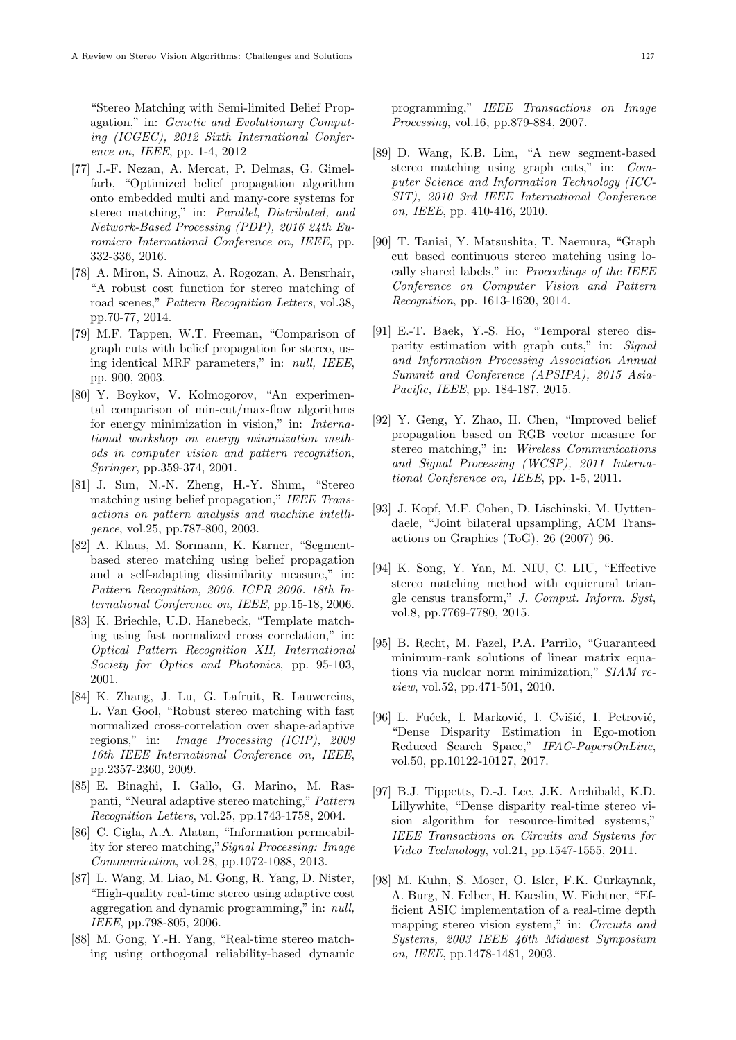"Stereo Matching with Semi-limited Belief Propagation," in: Genetic and Evolutionary Computing (ICGEC), 2012 Sixth International Conference on, IEEE, pp. 1-4, 2012

- [77] J.-F. Nezan, A. Mercat, P. Delmas, G. Gimelfarb, "Optimized belief propagation algorithm onto embedded multi and many-core systems for stereo matching," in: Parallel, Distributed, and Network-Based Processing (PDP), 2016 24th Euromicro International Conference on, IEEE, pp. 332-336, 2016.
- [78] A. Miron, S. Ainouz, A. Rogozan, A. Bensrhair, "A robust cost function for stereo matching of road scenes," Pattern Recognition Letters, vol.38, pp.70-77, 2014.
- [79] M.F. Tappen, W.T. Freeman, "Comparison of graph cuts with belief propagation for stereo, using identical MRF parameters," in: null, IEEE, pp. 900, 2003.
- [80] Y. Boykov, V. Kolmogorov, "An experimental comparison of min-cut/max-flow algorithms for energy minimization in vision," in: International workshop on energy minimization methods in computer vision and pattern recognition, Springer, pp.359-374, 2001.
- [81] J. Sun, N.-N. Zheng, H.-Y. Shum, "Stereo matching using belief propagation," IEEE Transactions on pattern analysis and machine intelligence, vol.25, pp.787-800, 2003.
- [82] A. Klaus, M. Sormann, K. Karner, "Segmentbased stereo matching using belief propagation and a self-adapting dissimilarity measure," in: Pattern Recognition, 2006. ICPR 2006. 18th International Conference on, IEEE, pp.15-18, 2006.
- [83] K. Briechle, U.D. Hanebeck, "Template matching using fast normalized cross correlation," in: Optical Pattern Recognition XII, International Society for Optics and Photonics, pp. 95-103, 2001.
- [84] K. Zhang, J. Lu, G. Lafruit, R. Lauwereins, L. Van Gool, "Robust stereo matching with fast normalized cross-correlation over shape-adaptive regions," in: Image Processing (ICIP), 2009 16th IEEE International Conference on, IEEE, pp.2357-2360, 2009.
- [85] E. Binaghi, I. Gallo, G. Marino, M. Raspanti, "Neural adaptive stereo matching," Pattern Recognition Letters, vol.25, pp.1743-1758, 2004.
- [86] C. Cigla, A.A. Alatan, "Information permeability for stereo matching,"Signal Processing: Image Communication, vol.28, pp.1072-1088, 2013.
- [87] L. Wang, M. Liao, M. Gong, R. Yang, D. Nister, "High-quality real-time stereo using adaptive cost aggregation and dynamic programming," in: null, IEEE, pp.798-805, 2006.
- [88] M. Gong, Y.-H. Yang, "Real-time stereo matching using orthogonal reliability-based dynamic

programming," IEEE Transactions on Image Processing, vol.16, pp.879-884, 2007.

- [89] D. Wang, K.B. Lim, "A new segment-based stereo matching using graph cuts," in: Computer Science and Information Technology (ICC-SIT), 2010 3rd IEEE International Conference on, IEEE, pp. 410-416, 2010.
- [90] T. Taniai, Y. Matsushita, T. Naemura, "Graph cut based continuous stereo matching using locally shared labels," in: Proceedings of the IEEE Conference on Computer Vision and Pattern Recognition, pp. 1613-1620, 2014.
- [91] E.-T. Baek, Y.-S. Ho, "Temporal stereo disparity estimation with graph cuts," in: Signal and Information Processing Association Annual Summit and Conference (APSIPA), 2015 Asia-Pacific, IEEE, pp. 184-187, 2015.
- [92] Y. Geng, Y. Zhao, H. Chen, "Improved belief propagation based on RGB vector measure for stereo matching," in: Wireless Communications and Signal Processing (WCSP), 2011 International Conference on, IEEE, pp. 1-5, 2011.
- [93] J. Kopf, M.F. Cohen, D. Lischinski, M. Uyttendaele, "Joint bilateral upsampling, ACM Transactions on Graphics (ToG), 26 (2007) 96.
- [94] K. Song, Y. Yan, M. NIU, C. LIU, "Effective stereo matching method with equicrural triangle census transform," J. Comput. Inform. Syst, vol.8, pp.7769-7780, 2015.
- [95] B. Recht, M. Fazel, P.A. Parrilo, "Guaranteed minimum-rank solutions of linear matrix equations via nuclear norm minimization," SIAM review, vol.52, pp.471-501, 2010.
- [96] L. Fućek, I. Marković, I. Cvišić, I. Petrović, "Dense Disparity Estimation in Ego-motion Reduced Search Space," IFAC-PapersOnLine, vol.50, pp.10122-10127, 2017.
- [97] B.J. Tippetts, D.-J. Lee, J.K. Archibald, K.D. Lillywhite, "Dense disparity real-time stereo vision algorithm for resource-limited systems," IEEE Transactions on Circuits and Systems for Video Technology, vol.21, pp.1547-1555, 2011.
- [98] M. Kuhn, S. Moser, O. Isler, F.K. Gurkaynak, A. Burg, N. Felber, H. Kaeslin, W. Fichtner, "Efficient ASIC implementation of a real-time depth mapping stereo vision system," in: Circuits and Systems, 2003 IEEE 46th Midwest Symposium on, IEEE, pp.1478-1481, 2003.